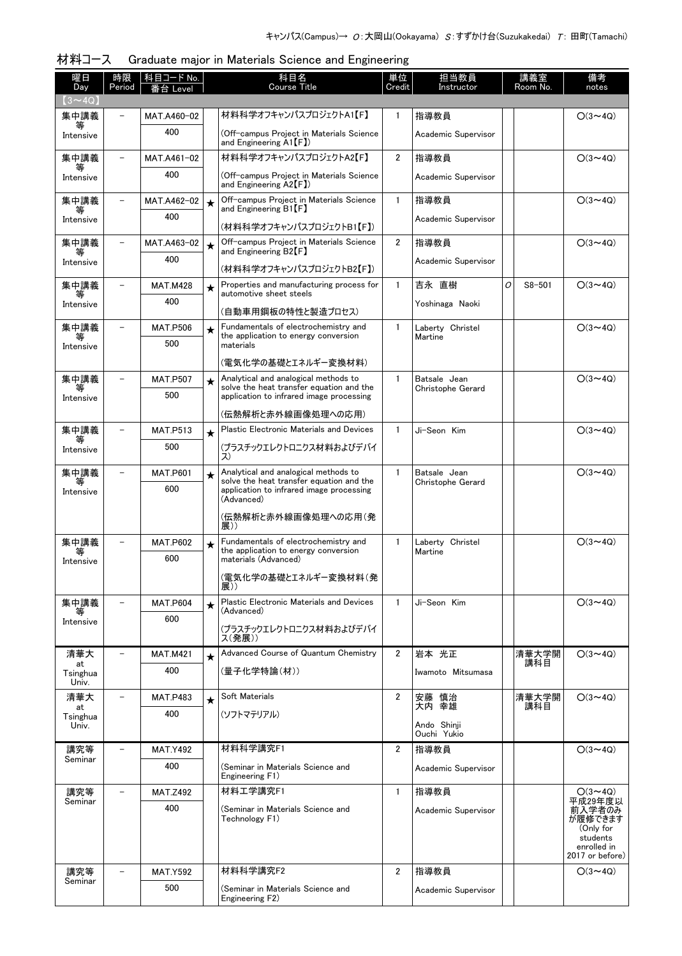| 曜日<br>Day               | 時限<br>Period             | 科目コード No.<br>番台 Level |         | 科目名<br><b>Course Title</b>                                                             | 単位<br>Credit   | 担当教員<br>Instructor                |   | 講義室<br>Room No. | 備考<br>notes                                                                             |
|-------------------------|--------------------------|-----------------------|---------|----------------------------------------------------------------------------------------|----------------|-----------------------------------|---|-----------------|-----------------------------------------------------------------------------------------|
| $(3 \sim 4Q)$           |                          |                       |         |                                                                                        |                |                                   |   |                 |                                                                                         |
| 集中講義                    |                          | MAT.A460-02           |         | 材料科学オフキャンパスプロジェクトA1【F】                                                                 | 1              | 指導教員                              |   |                 | $O(3 \sim 4Q)$                                                                          |
| 等<br>Intensive          |                          | 400                   |         | (Off-campus Project in Materials Science<br>and Engineering $\mathsf{A1}[\mathsf{F}])$ |                | Academic Supervisor               |   |                 |                                                                                         |
| 集中講義                    | $\overline{\phantom{0}}$ | MAT.A461-02           |         | 材料科学オフキャンパスプロジェクトA2【F】                                                                 | $\overline{2}$ | 指導教員                              |   |                 | $O(3 \sim 4Q)$                                                                          |
| 等<br>Intensive          |                          | 400                   |         | (Off-campus Project in Materials Science<br>and Engineering $\mathsf{A2}[\mathsf{F}])$ |                | Academic Supervisor               |   |                 |                                                                                         |
| 集中講義                    |                          | MAT.A462-02           | $\star$ | Off-campus Project in Materials Science<br>and Engineering $\mathsf{B1}$ [F]           | $\mathbf{1}$   | 指導教員                              |   |                 | $O(3 \sim 40)$                                                                          |
| Intensive               |                          | 400                   |         | (材料科学オフキャンパスプロジェクトB1【F】)                                                               |                | Academic Supervisor               |   |                 |                                                                                         |
| 集中講義                    |                          | MAT.A463-02           | $\star$ | Off-campus Project in Materials Science<br>and Engineering $B2$ [F]                    | $\overline{2}$ | 指導教員                              |   |                 | $O(3 \sim 4Q)$                                                                          |
| Intensive               |                          | 400                   |         | (材料科学オフキャンパスプロジェクトB2【F】)                                                               |                | Academic Supervisor               |   |                 |                                                                                         |
| 集中講義                    |                          | <b>MAT.M428</b>       | $\star$ | Properties and manufacturing process for<br>automotive sheet steels                    | $\mathbf{1}$   | 吉永 直樹                             | 0 | $S8 - 501$      | $O(3 \sim 4Q)$                                                                          |
| 等<br>Intensive          |                          | 400                   |         | (自動車用鋼板の特性と製造プロセス)                                                                     |                | Yoshinaga Naoki                   |   |                 |                                                                                         |
| 集中講義                    | $\overline{\phantom{0}}$ | <b>MAT.P506</b>       | $\star$ | Fundamentals of electrochemistry and<br>the application to energy conversion           | 1              | Laberty Christel                  |   |                 | $O(3 \sim 4Q)$                                                                          |
| 等<br>Intensive          |                          | 500                   |         | materials                                                                              |                | Martine                           |   |                 |                                                                                         |
|                         |                          |                       |         | (電気化学の基礎とエネルギー変換材料)                                                                    |                |                                   |   |                 |                                                                                         |
| 集中講義                    |                          | <b>MAT.P507</b>       | $\star$ | Analytical and analogical methods to<br>solve the heat transfer equation and the       | $\mathbf{1}$   | Batsale Jean<br>Christophe Gerard |   |                 | $O(3 \sim 4Q)$                                                                          |
| Intensive               |                          | 500                   |         | application to infrared image processing                                               |                |                                   |   |                 |                                                                                         |
|                         |                          |                       |         | (伝熱解析と赤外線画像処理への応用)                                                                     |                |                                   |   |                 |                                                                                         |
| 集中講義<br>等               |                          | <b>MAT.P513</b>       | $\star$ | Plastic Electronic Materials and Devices                                               | $\mathbf{1}$   | Ji-Seon Kim                       |   |                 | $O(3 \sim 4Q)$                                                                          |
| Intensive               |                          | 500                   |         | (プラスチックエレクトロニクス材料およびデバイ<br>ス)                                                          |                |                                   |   |                 |                                                                                         |
| 集中講義                    |                          | <b>MAT.P601</b>       | $\star$ | Analytical and analogical methods to<br>solve the heat transfer equation and the       | $\mathbf{1}$   | Batsale Jean<br>Christophe Gerard |   |                 | $O(3 \sim 4Q)$                                                                          |
| Intensive               |                          | 600                   |         | application to infrared image processing<br>(Advanced)<br>(伝熱解析と赤外線画像処理への応用(発          |                |                                   |   |                 |                                                                                         |
|                         |                          |                       |         | 展))                                                                                    |                |                                   |   |                 |                                                                                         |
| 集中講義<br>等               |                          | <b>MAT.P602</b>       | $\star$ | Fundamentals of electrochemistry and<br>the application to energy conversion           | $\mathbf{1}$   | Laberty Christel<br>Martine       |   |                 | $O(3 \sim 40)$                                                                          |
| Intensive               |                          | 600                   |         | materials (Advanced)                                                                   |                |                                   |   |                 |                                                                                         |
|                         |                          |                       |         | (電気化学の基礎とエネルギー変換材料(発<br>展))                                                            |                |                                   |   |                 |                                                                                         |
| 集中講義                    |                          | <b>MAT.P604</b>       | $\star$ | Plastic Electronic Materials and Devices<br>(Advanced)                                 | $\mathbf{1}$   | Ji-Seon Kim                       |   |                 | $O(3 \sim 4Q)$                                                                          |
| Intensive               |                          | 600                   |         | (プラスチックエレクトロニクス材料およびデバイ<br>ス(発展))                                                      |                |                                   |   |                 |                                                                                         |
| 清華大                     | $\overline{\phantom{0}}$ | <b>MAT.M421</b>       | $\star$ | Advanced Course of Quantum Chemistry                                                   | $\overline{2}$ | 岩本 光正                             |   | 清華大学開           | $O(3 \sim 4Q)$                                                                          |
| at<br>Tsinghua<br>Univ. |                          | 400                   |         | (量子化学特論(材))                                                                            |                | Iwamoto Mitsumasa                 |   | 講科目             |                                                                                         |
| 清華大                     |                          | <b>MAT.P483</b>       | $\star$ | Soft Materials                                                                         | $\overline{2}$ | 安藤 慎治                             |   | 清華大学開           | $O(3 \sim 4Q)$                                                                          |
| at<br>Tsinghua          |                          | 400                   |         | (ソフトマテリアル)                                                                             |                | 大内 幸雄                             |   | 講科目             |                                                                                         |
| Univ.                   |                          |                       |         |                                                                                        |                | Ando Shinji<br>Ouchi Yukio        |   |                 |                                                                                         |
| 講究等                     | $\overline{\phantom{0}}$ | <b>MAT.Y492</b>       |         | 材料科学講究F1                                                                               | $\overline{2}$ | 指導教員                              |   |                 | $O(3 \sim 4Q)$                                                                          |
| Seminar                 |                          | 400                   |         | (Seminar in Materials Science and<br>Engineering F1)                                   |                | Academic Supervisor               |   |                 |                                                                                         |
| 講究等                     | $\overline{a}$           | <b>MAT.Z492</b>       |         | 材料工学講究F1                                                                               | $\mathbf{1}$   | 指導教員                              |   |                 | $O(3 \sim 4Q)$                                                                          |
| Seminar                 |                          | 400                   |         | (Seminar in Materials Science and<br>Technology F1)                                    |                | Academic Supervisor               |   |                 | 平成29年度以<br>前入学者のみ<br>が履修できます<br>(Only for<br>students<br>enrolled in<br>2017 or before) |
| 講究等                     | $\overline{\phantom{0}}$ | <b>MAT.Y592</b>       |         | 材料科学講究F2                                                                               | $\overline{2}$ | 指導教員                              |   |                 | $O(3 \sim 4Q)$                                                                          |
| Seminar                 |                          | 500                   |         | (Seminar in Materials Science and<br>Engineering F2)                                   |                | Academic Supervisor               |   |                 |                                                                                         |
|                         |                          |                       |         |                                                                                        |                |                                   |   |                 |                                                                                         |

|  | 材料コース Graduate major in Materials Science and Engineering |  |
|--|-----------------------------------------------------------|--|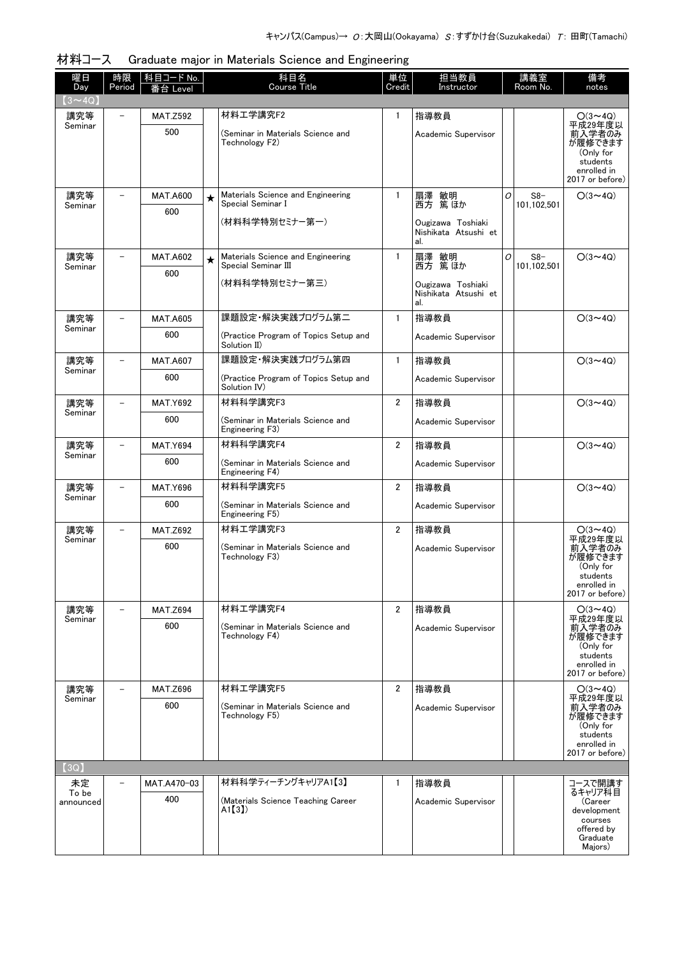| 材料コース Graduate major in Materials Science and Engineering |
|-----------------------------------------------------------|
|                                                           |

| 曜日<br>Day                | 時限<br>Period             | │科目コード No.<br>番台 Level |         | 科目名<br>Course Title                                                | 単位<br>Credit   | 担当教員<br>Instructor                               |   | 講義室<br>Room No. | 備考<br>notes                                                                                  |
|--------------------------|--------------------------|------------------------|---------|--------------------------------------------------------------------|----------------|--------------------------------------------------|---|-----------------|----------------------------------------------------------------------------------------------|
| $(3 \sim 4Q)$            |                          |                        |         |                                                                    |                |                                                  |   |                 |                                                                                              |
| 講究等<br>Seminar           |                          | <b>MAT.Z592</b>        |         | 材料工学講究F2                                                           | 1              | 指導教員                                             |   |                 | $O(3 \sim 4Q)$<br>平成29年度以                                                                    |
|                          |                          | 500                    |         | (Seminar in Materials Science and<br>Technology F2)                |                | Academic Supervisor                              |   |                 | 前入学者のみ<br>が履修できます<br>(Only for<br>students<br>enrolled in<br>2017 or before)                 |
| 講究等                      |                          | <b>MAT.A600</b>        | $\star$ | Materials Science and Engineering                                  | $\mathbf{1}$   | 扇澤 敏明                                            | O | $S8-$           | $O(3 \sim 4Q)$                                                                               |
| Seminar                  |                          | 600                    |         | Special Seminar I                                                  |                | 西方 篤ほか                                           |   | 101,102,501     |                                                                                              |
|                          |                          |                        |         | (材料科学特別セミナー第一)                                                     |                | Ougizawa Toshiaki<br>Nishikata Atsushi et<br>al. |   |                 |                                                                                              |
| 講究等                      |                          | <b>MAT.A602</b>        | $\star$ | Materials Science and Engineering<br>Special Seminar III           | $\mathbf{1}$   | 扇澤 敏明<br>西方 篤ほか                                  | 0 | $S8-$           | $O(3 \sim 4Q)$                                                                               |
| Seminar                  |                          | 600                    |         |                                                                    |                |                                                  |   | 101,102,501     |                                                                                              |
|                          |                          |                        |         | (材料科学特別セミナー第三)                                                     |                | Ougizawa Toshiaki<br>Nishikata Atsushi et<br>al. |   |                 |                                                                                              |
| 講究等                      |                          | <b>MAT.A605</b>        |         | 課題設定・解決実践プログラム第二                                                   | $\mathbf{1}$   | 指導教員                                             |   |                 | $O(3 \sim 4Q)$                                                                               |
| Seminar                  |                          | 600                    |         | (Practice Program of Topics Setup and<br>Solution II)              |                | Academic Supervisor                              |   |                 |                                                                                              |
| 講究等                      |                          | <b>MAT.A607</b>        |         | 課題設定・解決実践プログラム第四                                                   | $\mathbf{1}$   | 指導教員                                             |   |                 | $O(3 \sim 4Q)$                                                                               |
| Seminar                  |                          | 600                    |         | (Practice Program of Topics Setup and<br>Solution IV)              |                | Academic Supervisor                              |   |                 |                                                                                              |
| 講究等<br>Seminar           |                          | <b>MAT.Y692</b>        |         | 材料科学講究F3                                                           | $\overline{2}$ | 指導教員                                             |   |                 | $O(3 \sim 4Q)$                                                                               |
|                          |                          | 600                    |         | (Seminar in Materials Science and<br>Engineering F3)               |                | Academic Supervisor                              |   |                 |                                                                                              |
| 講究等                      |                          | <b>MAT.Y694</b>        |         | 材料科学講究F4                                                           | $\overline{2}$ | 指導教員                                             |   |                 | $O(3 \sim 4Q)$                                                                               |
| Seminar                  |                          | 600                    |         | (Seminar in Materials Science and<br>Engineering F4)               |                | Academic Supervisor                              |   |                 |                                                                                              |
| 講究等<br>Seminar           |                          | <b>MAT.Y696</b>        |         | 材料科学講究F5                                                           | $\overline{2}$ | 指導教員                                             |   |                 | $O(3 \sim 4Q)$                                                                               |
|                          |                          | 600                    |         | (Seminar in Materials Science and<br>Engineering F5)               |                | Academic Supervisor                              |   |                 |                                                                                              |
| 講究等<br>Seminar           | $\overline{\phantom{0}}$ | <b>MAT.Z692</b>        |         | 材料工学講究F3                                                           | $\overline{2}$ | 指導教員                                             |   |                 | $O(3 \sim 4Q)$<br>平成29年度以                                                                    |
|                          |                          | 600                    |         | (Seminar in Materials Science and<br>Technology F3)                |                | Academic Supervisor                              |   |                 | 前入学者のみ<br>が履修できます<br>(Only for<br>students<br>enrolled in<br>2017 or before)                 |
| 講究等                      |                          | <b>MAT.Z694</b>        |         | 材料工学講究F4                                                           | $\overline{2}$ | 指導教員                                             |   |                 | $O(3 \sim 4Q)$                                                                               |
| Seminar                  |                          | 600                    |         | (Seminar in Materials Science and<br>Technology F4)                |                | Academic Supervisor                              |   |                 | 平成29年度以<br>前入学者のみ<br>が履修できます<br>(Only for<br>students<br>enrolled in<br>2017 or before)      |
| 講究等                      |                          | <b>MAT.Z696</b>        |         | 材料工学講究F5                                                           | $\overline{2}$ | 指導教員                                             |   |                 | $O(3 \sim 4Q)$                                                                               |
| Seminar                  |                          | 600                    |         | (Seminar in Materials Science and                                  |                | Academic Supervisor                              |   |                 | 平成29年度以<br>前入学者のみ<br>が履修できます                                                                 |
|                          |                          |                        |         | Technology F5)                                                     |                |                                                  |   |                 | (Only for<br>students<br>enrolled in<br>2017 or before)                                      |
| $\left( 3Q\right)$       |                          |                        |         |                                                                    |                |                                                  |   |                 |                                                                                              |
| 未定<br>To be<br>announced |                          | MAT.A470-03<br>400     |         | 材料科学ティーチングキャリアA1【3】<br>(Materials Science Teaching Career<br>A1[3] | $\mathbf{1}$   | 指導教員<br>Academic Supervisor                      |   |                 | コースで開講す<br>るキャリア科目<br>(Career<br>development<br>courses<br>offered by<br>Graduate<br>Majors) |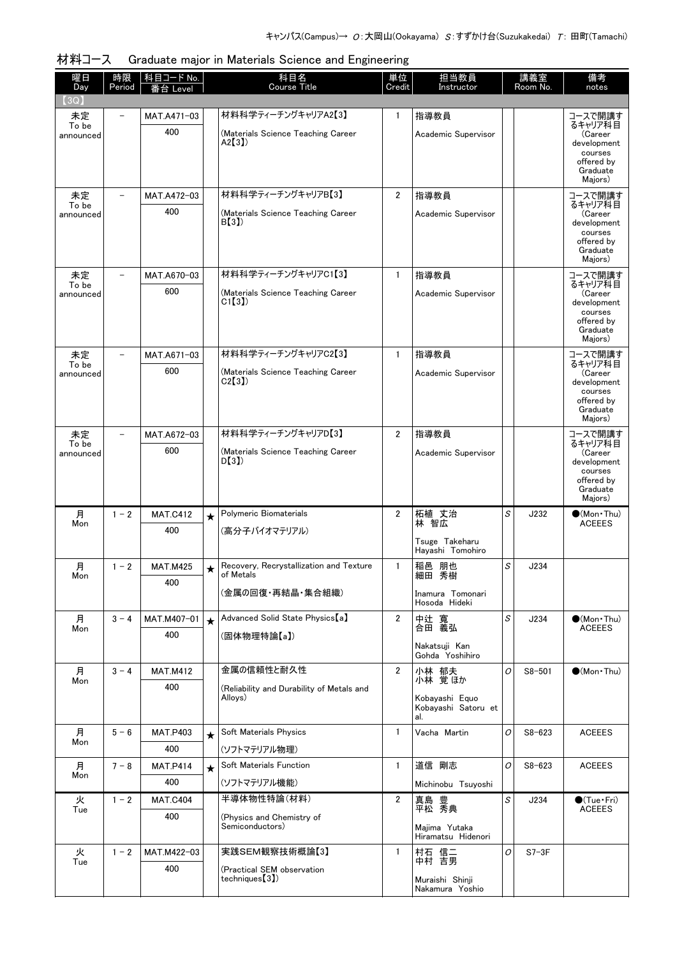| 曜日<br>Day          | 時限<br>Period             | 科目コード No.<br>番台 Level |         | 科目名<br><b>Course Title</b>                   | 単位<br>Credit   | 担当教員<br>Instructor                    |   | 講義室<br>Room No. | 備考<br>notes                           |
|--------------------|--------------------------|-----------------------|---------|----------------------------------------------|----------------|---------------------------------------|---|-----------------|---------------------------------------|
| (3Q)               |                          |                       |         |                                              |                |                                       |   |                 |                                       |
| 未定                 | $\overline{\phantom{0}}$ | MAT.A471-03           |         | 材料科学ティーチングキャリアA2【3】                          | $\mathbf{1}$   | 指導教員                                  |   |                 | コースで開講す                               |
| To be<br>announced |                          | 400                   |         | (Materials Science Teaching Career           |                | Academic Supervisor                   |   |                 | るキャリア科目<br>(Career                    |
|                    |                          |                       |         | A2[3]                                        |                |                                       |   |                 | development<br>courses                |
|                    |                          |                       |         |                                              |                |                                       |   |                 | offered by<br>Graduate                |
|                    |                          |                       |         |                                              |                |                                       |   |                 | Majors)                               |
| 未定<br>To be        |                          | MAT.A472-03           |         | 材料科学ティーチングキャリアB【3】                           | $\overline{2}$ | 指導教員                                  |   |                 | コースで開講す<br>るキャリア科目                    |
| announced          |                          | 400                   |         | (Materials Science Teaching Career<br>B(3)   |                | Academic Supervisor                   |   |                 | (Career<br>development                |
|                    |                          |                       |         |                                              |                |                                       |   |                 | courses<br>offered by                 |
|                    |                          |                       |         |                                              |                |                                       |   |                 | Graduate<br>Majors)                   |
| 未定                 |                          | MAT.A670-03           |         | 材料科学ティーチングキャリアC1【3】                          | $\mathbf{1}$   | 指導教員                                  |   |                 | コースで開講す                               |
| To be<br>announced |                          | 600                   |         | (Materials Science Teaching Career           |                | Academic Supervisor                   |   |                 | るキャリア科目<br>(Career                    |
|                    |                          |                       |         | C1(3)                                        |                |                                       |   |                 | development                           |
|                    |                          |                       |         |                                              |                |                                       |   |                 | courses<br>offered by                 |
|                    |                          |                       |         |                                              |                |                                       |   |                 | Graduate<br>Majors)                   |
| 未定                 |                          | MAT.A671-03           |         | 材料科学ティーチングキャリアC2【3】                          | $\mathbf{1}$   | 指導教員                                  |   |                 | コースで開講す<br>るキャリア科目                    |
| To be<br>announced |                          | 600                   |         | (Materials Science Teaching Career           |                | Academic Supervisor                   |   |                 | (Career                               |
|                    |                          |                       |         | C2[3]                                        |                |                                       |   |                 | development<br>courses                |
|                    |                          |                       |         |                                              |                |                                       |   |                 | offered by<br>Graduate                |
|                    |                          |                       |         |                                              |                |                                       |   |                 | Majors)                               |
| 未定<br>To be        | $\overline{\phantom{0}}$ | MAT.A672-03           |         | 材料科学ティーチングキャリアD【3】                           | $\overline{2}$ | 指導教員                                  |   |                 | コースで開講す<br>るキャリア科目                    |
| announced          |                          | 600                   |         | (Materials Science Teaching Career<br>D(3)   |                | Academic Supervisor                   |   |                 | (Career<br>development                |
|                    |                          |                       |         |                                              |                |                                       |   |                 | courses<br>offered by                 |
|                    |                          |                       |         |                                              |                |                                       |   |                 | Graduate<br>Majors)                   |
| 月                  | $1 - 2$                  | <b>MAT.C412</b>       | $\star$ | Polymeric Biomaterials                       | 2              | 柘植 丈治                                 | S | J232            | $\bigcirc$ (Mon·Thu)                  |
| Mon                |                          | 400                   |         | (高分子バイオマテリアル)                                |                | 林 智広                                  |   |                 | <b>ACEEES</b>                         |
|                    |                          |                       |         |                                              |                | Tsuge Takeharu<br>Hayashi Tomohiro    |   |                 |                                       |
| 月                  | $1 - 2$                  | <b>MAT.M425</b>       | $\star$ | Recovery, Recrystallization and Texture      | $\mathbf{1}$   | 稲邑 朋也                                 | S | J234            |                                       |
| Mon                |                          | 400                   |         | of Metals                                    |                | 細田 秀樹                                 |   |                 |                                       |
|                    |                          |                       |         | (金属の回復・再結晶・集合組織)                             |                | Inamura Tomonari<br>Hosoda Hideki     |   |                 |                                       |
| 月                  | $3 - 4$                  | MAT.M407-01           | $\star$ | Advanced Solid State Physics [a]             | $\overline{2}$ | 中辻 寬                                  | S | J234            | $\bullet$ (Mon Thu)                   |
| Mon                |                          | 400                   |         | (固体物理特論【a】)                                  |                | 合田 義弘                                 |   |                 | <b>ACEEES</b>                         |
|                    |                          |                       |         |                                              |                | Nakatsuji Kan<br>Gohda Yoshihiro      |   |                 |                                       |
| 月                  | $3 - 4$                  | <b>MAT.M412</b>       |         | 金属の信頼性と耐久性                                   | $\overline{2}$ | 小林 郁夫                                 | O | $S8 - 501$      | $\bullet$ (Mon Thu)                   |
| Mon                |                          | 400                   |         | (Reliability and Durability of Metals and    |                | 小林 覚ほか                                |   |                 |                                       |
|                    |                          |                       |         | Alloys)                                      |                | Kobavashi Equo<br>Kobayashi Satoru et |   |                 |                                       |
|                    |                          |                       |         |                                              |                | al.                                   |   |                 |                                       |
| 月<br>Mon           | $5 - 6$                  | MAT.P403              | $\star$ | Soft Materials Physics                       | $\mathbf{1}$   | Vacha Martin                          | 0 | $S8 - 623$      | <b>ACEEES</b>                         |
|                    |                          | 400                   |         | (ソフトマテリアル物理)                                 |                |                                       |   |                 |                                       |
| 月<br>Mon           | $7 - 8$                  | <b>MAT.P414</b>       | $\star$ | Soft Materials Function                      | $\mathbf{1}$   | 道信 剛志                                 | O | $S8 - 623$      | <b>ACEEES</b>                         |
|                    |                          | 400                   |         | (ソフトマテリアル機能)                                 |                | Michinobu Tsuyoshi                    |   |                 |                                       |
| 火<br>Tue           | $1 - 2$                  | <b>MAT.C404</b>       |         | 半導体物性特論(材料)                                  | 2              | 真島 豊<br>平松 秀典                         | S | J234            | $\bigcirc$ (Tue•Fri)<br><b>ACEEES</b> |
|                    |                          | 400                   |         | (Physics and Chemistry of<br>Semiconductors) |                | Majima Yutaka                         |   |                 |                                       |
|                    |                          |                       |         |                                              |                | Hiramatsu Hidenori                    |   |                 |                                       |
| 火<br>Tue           | $1 - 2$                  | MAT.M422-03           |         | 実践SEM観察技術概論【3】                               | $\mathbf{1}$   | 村石 信二<br>中村 吉男                        | 0 | $S7-3F$         |                                       |
|                    |                          | 400                   |         | (Practical SEM observation<br>techniques(3)  |                | Muraishi Shinji                       |   |                 |                                       |
|                    |                          |                       |         |                                              |                | Nakamura Yoshio                       |   |                 |                                       |

材料コース Graduate major in Materials Science and Engineering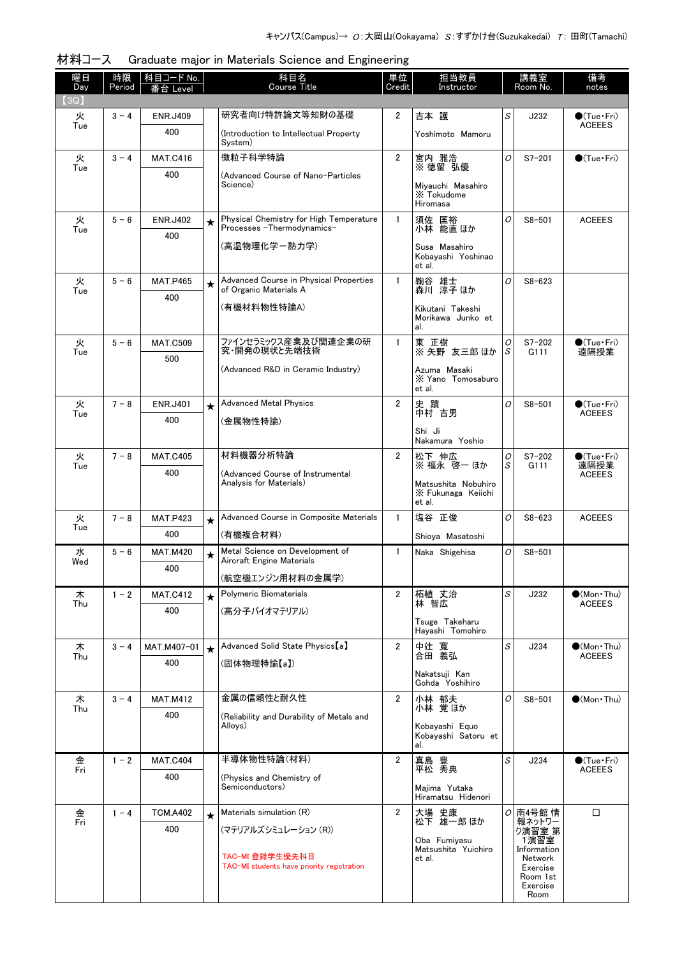| 曜日<br>時限<br>科目コード No.<br>Day<br>Period<br>≸台 Level | 科目名<br>単位<br><b>Course Title</b><br>Credit                                             | 担当教員<br>Instructor                           |        | 講義室<br>Room No.      | 備考<br>notes                            |
|----------------------------------------------------|----------------------------------------------------------------------------------------|----------------------------------------------|--------|----------------------|----------------------------------------|
| (3Q)                                               |                                                                                        |                                              |        |                      |                                        |
| 火<br>$3 - 4$<br><b>ENR.J409</b><br>Tue             | 研究者向け特許論文等知財の基礎<br>$\overline{2}$                                                      | 吉本 護                                         | S      | J232                 | $\bullet$ (Tue•Fri)<br><b>ACEEES</b>   |
| 400<br>System)                                     | (Introduction to Intellectual Property                                                 | Yoshimoto Mamoru                             |        |                      |                                        |
| 微粒子科学特論<br>火<br>$3 - 4$<br><b>MAT.C416</b>         | $\overline{2}$                                                                         | 宮内 雅浩<br>※徳留 弘優                              | 0      | $S7 - 201$           | $\bullet$ (Tue · Fri)                  |
| Tue<br>400<br>Science)                             | (Advanced Course of Nano-Particles                                                     |                                              |        |                      |                                        |
|                                                    |                                                                                        | Miyauchi Masahiro<br>X Tokudome<br>Hiromasa  |        |                      |                                        |
| 火<br>$5 - 6$<br><b>ENR.J402</b><br>$\star$<br>Tue  | Physical Chemistry for High Temperature<br>$\mathbf{1}$<br>Processes - Thermodynamics- | 須佐 匡裕<br>小林 能直 ほか                            | O      | $S8 - 501$           | <b>ACEEES</b>                          |
| 400                                                | (高温物理化学ー熱力学)                                                                           | Susa Masahiro                                |        |                      |                                        |
|                                                    |                                                                                        | Kobayashi Yoshinao<br>et al.                 |        |                      |                                        |
| 火<br>$5 - 6$<br><b>MAT.P465</b><br>$\star$         | Advanced Course in Physical Properties<br>$\mathbf{1}$                                 | 鞠谷 雄士                                        | O      | $S8 - 623$           |                                        |
| of Organic Materials A<br>Tue<br>400               |                                                                                        | 森川 淳子 ほか                                     |        |                      |                                        |
| (有機材料物性特論A)                                        |                                                                                        | Kikutani Takeshi<br>Morikawa Junko et<br>al. |        |                      |                                        |
| 火<br>$5 - 6$<br><b>MAT.C509</b>                    | ファインセラミックス産業及び関連企業の研<br>$\mathbf{1}$                                                   | 東 正樹                                         | Ο      | $S7 - 202$           | $\bullet$ (Tue · Fri)                  |
| Tue<br>500                                         | 究・開発の現状と先端技術                                                                           | ※ 矢野 友三郎 ほか                                  | S      | G111                 | 遠隔授業                                   |
|                                                    | (Advanced R&D in Ceramic Industry)                                                     | Azuma Masaki<br>X Yano Tomosaburo<br>et al.  |        |                      |                                        |
| $7 - 8$<br>火<br><b>ENR.J401</b><br>$\star$<br>Tue  | <b>Advanced Metal Physics</b><br>$\overline{2}$                                        | 史蹟<br>中村 吉男                                  | O      | $S8 - 501$           | $\bullet$ (Tue · Fri)<br><b>ACEEES</b> |
| 400<br>(金属物性特論)                                    |                                                                                        | Shi Ji                                       |        |                      |                                        |
|                                                    |                                                                                        | Nakamura Yoshio                              |        |                      |                                        |
| 材料機器分析特論<br>火<br>$7 - 8$<br><b>MAT.C405</b><br>Tue | $\overline{2}$                                                                         | 松下 伸広<br>※ 福永 啓一 ほか                          | 0<br>S | $S7 - 202$<br>G111   | $\bullet$ (Tue · Fri)<br>遠隔授業          |
| 400<br>Analysis for Materials)                     | (Advanced Course of Instrumental                                                       | Matsushita Nobuhiro                          |        |                      | <b>ACEEES</b>                          |
|                                                    |                                                                                        | X Fukunaga Keiichi<br>et al.                 |        |                      |                                        |
| 火<br>$7 - 8$<br><b>MAT.P423</b><br>$\star$         | Advanced Course in Composite Materials<br>$\mathbf{1}$                                 | 塩谷 正俊                                        | O      | $S8 - 623$           | <b>ACEEES</b>                          |
| Tue<br>400<br>(有機複合材料)                             |                                                                                        | Shioya Masatoshi                             |        |                      |                                        |
| 水<br>$5 - 6$<br><b>MAT.M420</b><br>$\star$<br>Wed  | Metal Science on Development of<br>$\mathbf{1}$<br>Aircraft Engine Materials           | Naka Shigehisa                               | 0      | $S8 - 501$           |                                        |
| 400                                                | (航空機エンジン用材料の金属学)                                                                       |                                              |        |                      |                                        |
| 木<br>$1 - 2$<br><b>MAT.C412</b><br>$\star$         | $\overline{2}$<br>Polymeric Biomaterials                                               | 柘植 丈治                                        | S      | J232                 | $\bullet$ (Mon•Thu)                    |
| Thu<br>400                                         | (高分子バイオマテリアル)                                                                          | 林 智広                                         |        |                      | <b>ACEEES</b>                          |
|                                                    |                                                                                        | Tsuge Takeharu<br>Hayashi Tomohiro           |        |                      |                                        |
| 木<br>$3 - 4$<br>MAT.M407-01<br>$\star$             | Advanced Solid State Physics [a]<br>$\overline{2}$                                     | 中辻 寬                                         | S      | J234                 | $\bullet$ (Mon Thu)                    |
| Thu<br>400<br>(固体物理特論【a】)                          |                                                                                        | 合田 義弘                                        |        |                      | <b>ACEEES</b>                          |
|                                                    |                                                                                        | Nakatsuji Kan<br>Gohda Yoshihiro             |        |                      |                                        |
| 木<br>$3 - 4$<br><b>MAT.M412</b><br>Thu             | 金属の信頼性と耐久性<br>$\overline{2}$                                                           | 小林 郁夫<br>小林 覚ほか                              | O      | $S8 - 501$           | $\bullet$ (Mon Thu)                    |
| 400<br>Alloys)                                     | (Reliability and Durability of Metals and                                              | Kobayashi Equo                               |        |                      |                                        |
|                                                    |                                                                                        | Kobayashi Satoru et<br>al.                   |        |                      |                                        |
| 金<br>$1 - 2$<br><b>MAT.C404</b>                    | 半導体物性特論(材料)<br>$\overline{2}$                                                          | 真島 豊<br>平松 秀典                                | S      | J234                 | $\bullet$ (Tue•Fri)                    |
| Fri<br>400                                         | (Physics and Chemistry of                                                              |                                              |        |                      | <b>ACEEES</b>                          |
| Semiconductors)                                    |                                                                                        | Majima Yutaka<br>Hiramatsu Hidenori          |        |                      |                                        |
| 金<br>$1 - 4$<br><b>TCM.A402</b><br>$\star$         | Materials simulation (R)<br>$\mathbf{2}$                                               | 大場 史康<br>松下 雄一郎 ほか                           |        | 이南4号館 情              | □                                      |
| $\bar{F}$ ri<br>400                                | (マテリアルズシミュレーション (R))                                                                   |                                              |        | 報ネットワー<br>ク演習室 第     |                                        |
|                                                    | TAC-MI 登録学生優先科目                                                                        | Oba Fumiyasu<br>Matsushita Yuichiro          |        | 1演習室<br>Information  |                                        |
|                                                    | TAC-MI students have priority registration                                             | et al.                                       |        | Network<br>Exercise  |                                        |
|                                                    |                                                                                        |                                              |        | Room 1st<br>Exercise |                                        |

材料コース Graduate major in Materials Science and Engineering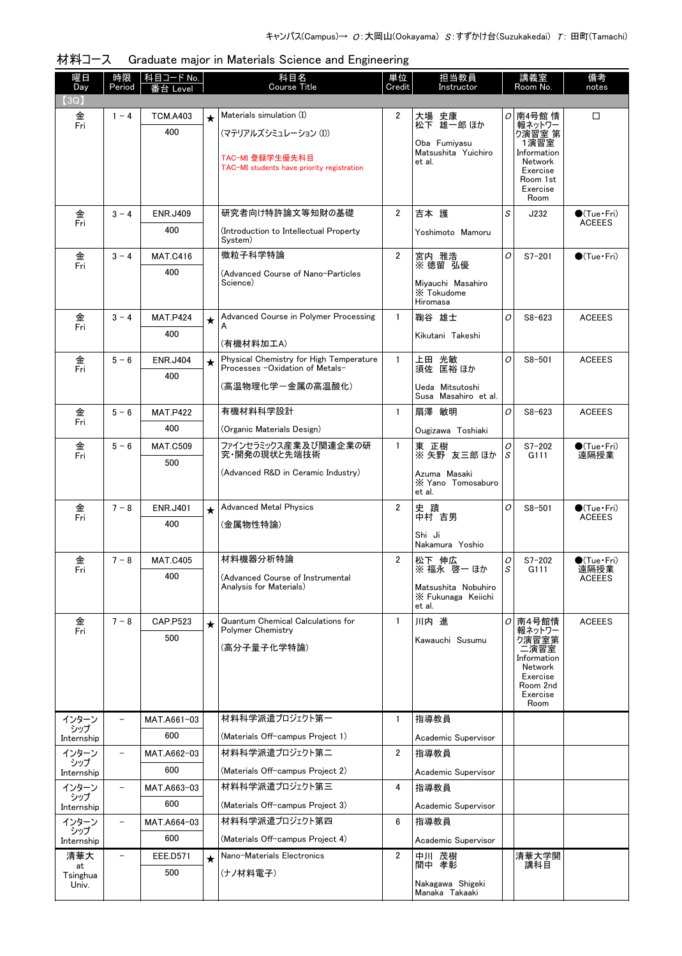| 材料コース Graduate major in Materials Science and Engineering |  |
|-----------------------------------------------------------|--|
|-----------------------------------------------------------|--|

| 曜日<br>Day         | 時限<br>Period             | 科目コード No.<br>番台 Level |         | 科目名<br><b>Course Title</b>                                  | 単位<br>Credit   | 担当教員<br>Instructor                 |        | 講義室<br>Room No.           | 備考<br>notes                             |  |
|-------------------|--------------------------|-----------------------|---------|-------------------------------------------------------------|----------------|------------------------------------|--------|---------------------------|-----------------------------------------|--|
| (3Q)              |                          |                       |         |                                                             |                |                                    |        |                           |                                         |  |
| 金<br>Fri          | $1 - 4$                  | <b>TCM.A403</b>       | $\star$ | Materials simulation (I)                                    | $\overline{2}$ | 大場 史康<br>松下 雄一郎 ほか                 |        | <i>O</i> 南4号館 情<br>報ネットワー | □                                       |  |
|                   |                          | 400                   |         | (マテリアルズシミュレーション (I))                                        |                | Oba Fumiyasu                       |        | ク演習室 第<br>1演習室            |                                         |  |
|                   |                          |                       |         | TAC-MI 登録学生優先科目                                             |                | Matsushita Yuichiro                |        | Information               |                                         |  |
|                   |                          |                       |         | TAC-MI students have priority registration                  |                | et al.                             |        | Network<br>Exercise       |                                         |  |
|                   |                          |                       |         |                                                             |                |                                    |        | Room 1st<br>Exercise      |                                         |  |
|                   |                          |                       |         |                                                             |                |                                    |        | Room                      |                                         |  |
| 金<br>Fri          | $3 - 4$                  | <b>ENR.J409</b>       |         | 研究者向け特許論文等知財の基礎                                             | $\overline{2}$ | 吉本 護                               | S      | J232                      | $\bigcirc$ (Tue · Fri)<br><b>ACEEES</b> |  |
|                   |                          | 400                   |         | (Introduction to Intellectual Property<br>System)           |                | Yoshimoto Mamoru                   |        |                           |                                         |  |
| 金                 | $3 - 4$                  | <b>MAT.C416</b>       |         | 微粒子科学特論                                                     | $\overline{2}$ | 宮内 雅浩                              | 0      | $S7 - 201$                | $\bigcirc$ (Tue·Fri)                    |  |
| Fri               |                          | 400                   |         | (Advanced Course of Nano-Particles                          |                | ※徳留 弘優                             |        |                           |                                         |  |
|                   |                          |                       |         | Science)                                                    |                | Miyauchi Masahiro                  |        |                           |                                         |  |
|                   |                          |                       |         |                                                             |                | X Tokudome<br>Hiromasa             |        |                           |                                         |  |
| 金                 | $3 - 4$                  | <b>MAT.P424</b>       | $\star$ | Advanced Course in Polymer Processing                       | $\mathbf{1}$   | 鞠谷 雄士                              | 0      | $S8 - 623$                | <b>ACEEES</b>                           |  |
| Fri               |                          | 400                   |         | A                                                           |                | Kikutani Takeshi                   |        |                           |                                         |  |
|                   |                          |                       |         | (有機材料加工A)<br>Physical Chemistry for High Temperature        | $\mathbf{1}$   |                                    |        |                           |                                         |  |
| 金<br>Fri          | $5 - 6$                  | <b>ENR.J404</b>       | $\star$ | Processes -Oxidation of Metals-                             |                | 上田 光敏<br>須佐 匡裕 ほか                  | 0      | $S8 - 501$                | <b>ACEEES</b>                           |  |
|                   |                          | 400                   |         | (高温物理化学-金属の高温酸化)                                            |                | Ueda Mitsutoshi                    |        |                           |                                         |  |
|                   |                          |                       |         |                                                             |                | Susa Masahiro et al.               |        |                           |                                         |  |
| 金<br>Fri          | $5 - 6$                  | <b>MAT.P422</b>       |         | 有機材料科学設計                                                    | $\mathbf{1}$   | 扇澤 敏明                              | 0      | $S8 - 623$                | <b>ACEEES</b>                           |  |
|                   |                          | 400                   |         | (Organic Materials Design)                                  |                | Ougizawa Toshiaki                  |        |                           |                                         |  |
| 金<br>Fri          | $5 - 6$                  | <b>MAT.C509</b>       |         | ファインセラミックス産業及び関連企業の研<br>究・開発の現状と先端技術                        | $\mathbf{1}$   | 東 正樹<br>※ 矢野 友三郎 ほか                | 0<br>S | $S7 - 202$<br>G111        | $\bigcirc$ (Tue · Fri)<br>遠隔授業          |  |
|                   |                          | 500                   |         | (Advanced R&D in Ceramic Industry)                          |                | Azuma Masaki                       |        |                           |                                         |  |
|                   |                          |                       |         |                                                             |                | X Yano Tomosaburo<br>et al.        |        |                           |                                         |  |
| 金                 | $7 - 8$                  | <b>ENR.J401</b>       |         | <b>Advanced Metal Physics</b>                               | $\overline{2}$ | 史蹟                                 | 0      | $S8 - 501$                | $\bigcirc$ (Tue · Fri)                  |  |
| Fri               |                          | 400                   | $\star$ | (金属物性特論)                                                    |                | 中村 吉男                              |        |                           | <b>ACEEES</b>                           |  |
|                   |                          |                       |         |                                                             |                | Shi Ji                             |        |                           |                                         |  |
|                   | $7 - 8$                  |                       |         | 材料機器分析特論                                                    |                | Nakamura Yoshio                    |        |                           |                                         |  |
| 金<br>Fri          |                          | <b>MAT.C405</b>       |         |                                                             | $\mathbf{2}$   | 松下 伸広<br>※ 福永 啓一 ほか                | 0<br>S | $S7 - 202$<br>G111        | $\bullet$ (Tue•Fri)<br>遠隔授業             |  |
|                   |                          | 400                   |         | (Advanced Course of Instrumental<br>Analysis for Materials) |                | Matsushita Nobuhiro                |        |                           | ACEEES                                  |  |
|                   |                          |                       |         |                                                             |                | X Fukunaga Keiichi<br>et al.       |        |                           |                                         |  |
| 金                 | $7 - 8$                  | <b>CAP.P523</b>       | $\star$ | <b>Quantum Chemical Calculations for</b>                    | $\mathbf{1}$   | 川内 進                               |        | ○ 南4号館情                   | <b>ACEEES</b>                           |  |
| Fri               |                          | 500                   |         | Polymer Chemistry                                           |                | Kawauchi Susumu                    |        | 報ネットワー<br>ク演習室第           |                                         |  |
|                   |                          |                       |         | (高分子量子化学特論)                                                 |                |                                    |        | 二演習室<br>Information       |                                         |  |
|                   |                          |                       |         |                                                             |                |                                    |        | Network<br>Exercise       |                                         |  |
|                   |                          |                       |         |                                                             |                |                                    |        | Room 2nd                  |                                         |  |
|                   |                          |                       |         |                                                             |                |                                    |        | Exercise<br>Room          |                                         |  |
| インターン             | $\overline{\phantom{0}}$ | MAT.A661-03           |         | 材料科学派遣プロジェクト第一                                              | $\mathbf{1}$   | 指導教員                               |        |                           |                                         |  |
| シップ<br>Internship |                          | 600                   |         | (Materials Off-campus Project 1)                            |                | Academic Supervisor                |        |                           |                                         |  |
| インターン             | $\overline{\phantom{0}}$ | MAT.A662-03           |         | 材料科学派遣プロジェクト第二                                              | $\overline{2}$ | 指導教員                               |        |                           |                                         |  |
| シップ<br>Internship |                          | 600                   |         | (Materials Off-campus Project 2)                            |                | Academic Supervisor                |        |                           |                                         |  |
| インターン             | $\overline{\phantom{a}}$ | MAT.A663-03           |         | 材料科学派遣プロジェクト第三                                              | 4              | 指導教員                               |        |                           |                                         |  |
| シップ<br>Internship |                          | 600                   |         | (Materials Off-campus Project 3)                            |                | Academic Supervisor                |        |                           |                                         |  |
| インターン             | $\overline{\phantom{0}}$ | MAT.A664-03           |         | 材料科学派遣プロジェクト第四                                              | 6              | 指導教員                               |        |                           |                                         |  |
| シップ<br>Internship |                          | 600                   |         | (Materials Off-campus Project 4)                            |                | Academic Supervisor                |        |                           |                                         |  |
| 清華大               | $\overline{\phantom{0}}$ | EEE.D571              | $\star$ | Nano-Materials Electronics                                  | $\overline{2}$ | 中川 茂樹                              |        | 清華大学開                     |                                         |  |
| at<br>Tsinghua    |                          | 500                   |         | (ナノ材料電子)                                                    |                | 間中 孝彰                              |        | 講科目                       |                                         |  |
| Univ.             |                          |                       |         |                                                             |                | Nakagawa Shigeki<br>Manaka Takaaki |        |                           |                                         |  |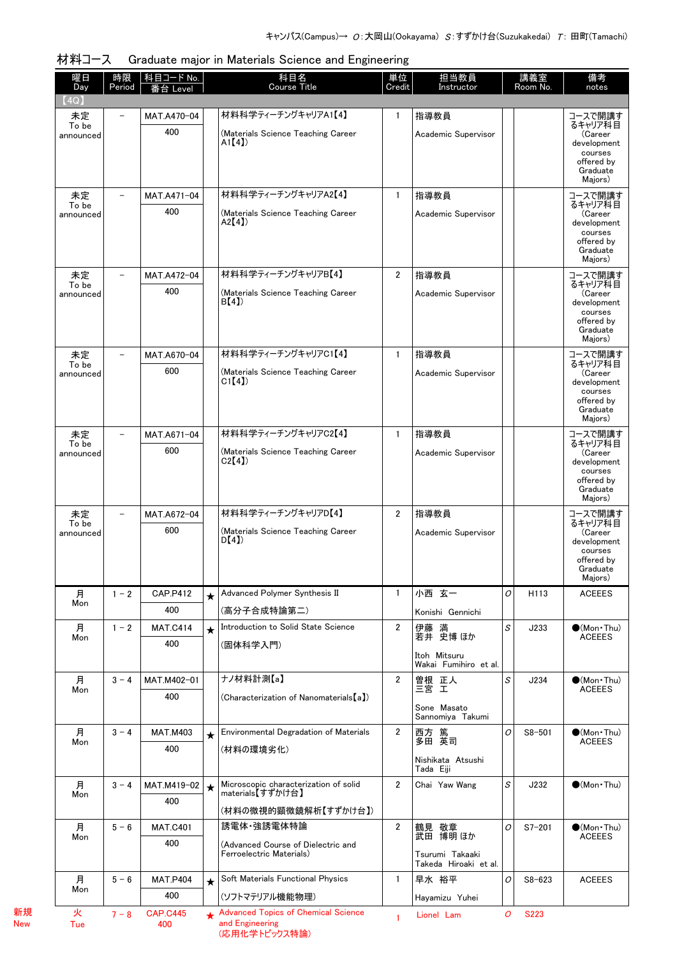| 曜日<br>Day          | 時限<br>Period             | 科目コード No.<br>番台 Level  |            | 科目名<br>Course Title                                       | 単位<br>Credit   | 担当教員<br>Instructor                       |   | 講義室<br>Room No. | 備考<br>notes                          |
|--------------------|--------------------------|------------------------|------------|-----------------------------------------------------------|----------------|------------------------------------------|---|-----------------|--------------------------------------|
| (4Q)               |                          |                        |            |                                                           |                |                                          |   |                 |                                      |
| 未定                 | $\overline{\phantom{0}}$ | MAT.A470-04            |            | 材料科学ティーチングキャリアA1【4】                                       | $\mathbf{1}$   | 指導教員                                     |   |                 | コースで開講す                              |
| To be<br>announced |                          | 400                    |            | (Materials Science Teaching Career                        |                | Academic Supervisor                      |   |                 | るキャリア科目<br>(Career                   |
|                    |                          |                        |            | A1[4]                                                     |                |                                          |   |                 | development<br>courses               |
|                    |                          |                        |            |                                                           |                |                                          |   |                 | offered by<br>Graduate               |
|                    |                          |                        |            |                                                           |                |                                          |   |                 | Majors)                              |
| 未定<br>To be        |                          | MAT.A471-04            |            | 材料科学ティーチングキャリアA2【4】                                       | $\mathbf{1}$   | 指導教員                                     |   |                 | コースで開講す<br>るキャリア科目                   |
| announced          |                          | 400                    |            | (Materials Science Teaching Career<br>A2[4]               |                | Academic Supervisor                      |   |                 | (Career<br>development               |
|                    |                          |                        |            |                                                           |                |                                          |   |                 | courses<br>offered by                |
|                    |                          |                        |            |                                                           |                |                                          |   |                 | Graduate<br>Majors)                  |
| 未定                 |                          | MAT.A472-04            |            | 材料科学ティーチングキャリアB【4】                                        | $\overline{2}$ | 指導教員                                     |   |                 | コースで開講す                              |
| To be<br>announced |                          | 400                    |            | (Materials Science Teaching Career                        |                | Academic Supervisor                      |   |                 | るキャリア科目<br>(Career                   |
|                    |                          |                        |            | B(4)                                                      |                |                                          |   |                 | development<br>courses               |
|                    |                          |                        |            |                                                           |                |                                          |   |                 | offered by<br>Graduate               |
|                    |                          |                        |            |                                                           |                |                                          |   |                 | Majors)                              |
| 未定<br>To be        |                          | MAT.A670-04            |            | 材料科学ティーチングキャリアC1【4】                                       | $\mathbf{1}$   | 指導教員                                     |   |                 | コースで開講す<br>るキャリア科目                   |
| announced          |                          | 600                    |            | (Materials Science Teaching Career<br>CI(4)               |                | Academic Supervisor                      |   |                 | (Career<br>development               |
|                    |                          |                        |            |                                                           |                |                                          |   |                 | courses<br>offered by                |
|                    |                          |                        |            |                                                           |                |                                          |   |                 | Graduate<br>Majors)                  |
| 未定                 |                          | MAT.A671-04            |            | 材料科学ティーチングキャリアC2【4】                                       | $\mathbf{1}$   | 指導教員                                     |   |                 | コースで開講す                              |
| To be<br>announced |                          | 600                    |            | (Materials Science Teaching Career                        |                | Academic Supervisor                      |   |                 | るキャリア科目<br>(Career                   |
|                    |                          |                        |            | C2[4]                                                     |                |                                          |   |                 | development<br>courses               |
|                    |                          |                        |            |                                                           |                |                                          |   |                 | offered by<br>Graduate               |
|                    |                          |                        |            |                                                           |                |                                          |   |                 | Majors)                              |
| 未定<br>To be        |                          | MAT.A672-04            |            | 材料科学ティーチングキャリアD【4】                                        | $\overline{2}$ | 指導教員                                     |   |                 | コースで開講す<br>るキャリア科目                   |
| announced          |                          | 600                    |            | (Materials Science Teaching Career<br>D(4)                |                | Academic Supervisor                      |   |                 | (Career<br>development               |
|                    |                          |                        |            |                                                           |                |                                          |   |                 | courses<br>offered by                |
|                    |                          |                        |            |                                                           |                |                                          |   |                 | Graduate<br>Majors)                  |
| 月                  | $1 - 2$                  | <b>CAP.P412</b>        | $\star$    | Advanced Polymer Synthesis II                             | $\mathbf{1}$   | 小西 玄一                                    | 0 | H113            | <b>ACEEES</b>                        |
| Mon                |                          | 400                    |            | (高分子合成特論第二)                                               |                | Konishi Gennichi                         |   |                 |                                      |
| 月                  | $1 - 2$                  | <b>MAT.C414</b>        | $\star$    | Introduction to Solid State Science                       | $\overline{2}$ | 伊藤 満<br>若井 史博 ほか                         | S | J233            | $\bullet$ (Mon Thu)                  |
| Mon                |                          | 400                    |            | (固体科学入門)                                                  |                |                                          |   |                 | <b>ACEEES</b>                        |
|                    |                          |                        |            |                                                           |                | Itoh Mitsuru<br>Wakai Fumihiro et al.    |   |                 |                                      |
| 月<br>Mon           | $3 - 4$                  | MAT.M402-01            |            | ナノ材料計測【a】                                                 | $\overline{2}$ | 曽根 正人<br>三宮 工                            | S | J234            | $\bullet$ (Mon Thu)<br><b>ACEEES</b> |
|                    |                          | 400                    |            | (Characterization of Nanomaterials[a])                    |                | Sone Masato                              |   |                 |                                      |
|                    |                          |                        |            |                                                           |                | Sannomiya Takumi                         |   |                 |                                      |
| 月<br>Mon           | $3 - 4$                  | <b>MAT.M403</b>        | $\star$    | <b>Environmental Degradation of Materials</b>             | $\overline{2}$ | 西方  篤<br>多田  英司                          | 0 | $S8 - 501$      | $\bullet$ (Mon Thu)<br><b>ACEEES</b> |
|                    |                          | 400                    |            | (材料の環境劣化)                                                 |                | Nishikata Atsushi                        |   |                 |                                      |
|                    |                          |                        |            |                                                           |                | Tada Eiji                                |   |                 |                                      |
| 月<br>Mon           | $3 - 4$                  | MAT.M419-02            | $\bigstar$ | Microscopic characterization of solid<br>materials【すずかけ台】 | $\overline{2}$ | Chai Yaw Wang                            | S | J232            | $\bullet$ (Mon Thu)                  |
|                    |                          | 400                    |            | (材料の微視的顕微鏡解析【すずかけ台】)                                      |                |                                          |   |                 |                                      |
| 月                  | $5 - 6$                  | <b>MAT.C401</b>        |            | 誘電体·強誘電体特論                                                | $\overline{2}$ | 鶴見 敬章                                    | 0 | $S7 - 201$      | $\bullet$ (Mon Thu)                  |
| Mon                |                          | 400                    |            | (Advanced Course of Dielectric and                        |                | 武田 博明 ほか                                 |   |                 | <b>ACEEES</b>                        |
|                    |                          |                        |            | Ferroelectric Materials)                                  |                | Tsurumi Takaaki<br>Takeda Hiroaki et al. |   |                 |                                      |
| 月                  | $5 - 6$                  | <b>MAT.P404</b>        | $\star$    | Soft Materials Functional Physics                         | $\mathbf{1}$   | 早水 裕平                                    | 0 | $S8 - 623$      | <b>ACEEES</b>                        |
| Mon                |                          | 400                    |            | (ソフトマテリアル機能物理)                                            |                | Hayamizu Yuhei                           |   |                 |                                      |
| 火<br>Tue           | $7 - 8$                  | <b>CAP.C445</b><br>400 |            | Advanced Topics of Chemical Science<br>and Engineering    | 1              | Lionel Lam                               | 0 | <b>S223</b>     |                                      |

材料コース Graduate major in Materials Science and Engineering

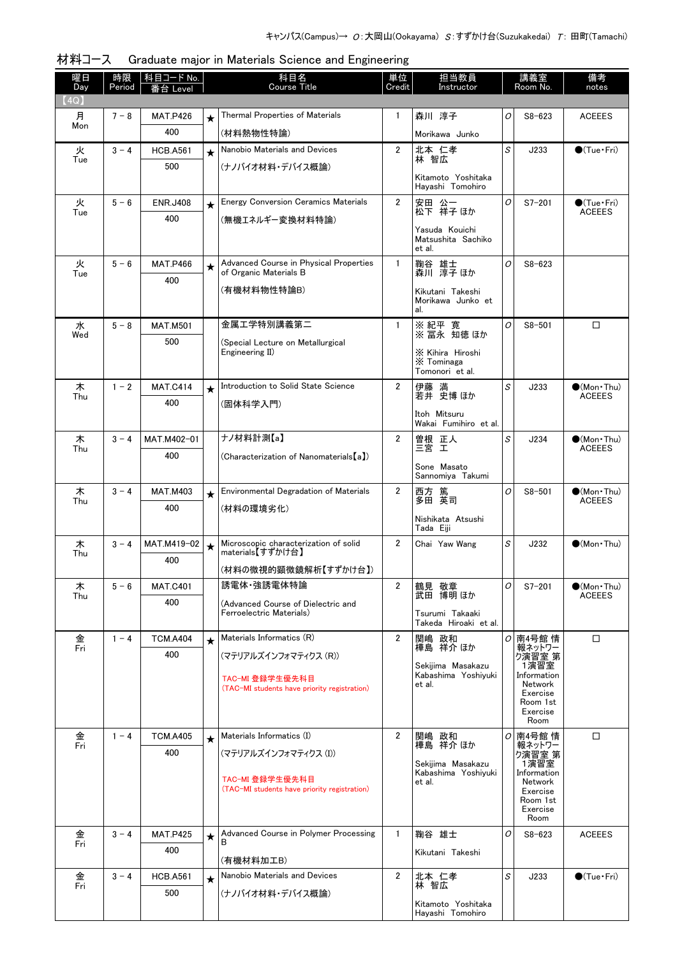| 曜日          | 時限      | 科目コード No.       |         | 科目名<br>Course Title                                              | 単位             | 担当教員                                              |   | 講義室                                  | 備考                                    |
|-------------|---------|-----------------|---------|------------------------------------------------------------------|----------------|---------------------------------------------------|---|--------------------------------------|---------------------------------------|
| Day<br>(4Q) | Period  | Level           |         |                                                                  | Credit         | Instructor                                        |   | Room No.                             | notes                                 |
| 月           | $7 - 8$ | <b>MAT.P426</b> | $\star$ | Thermal Properties of Materials                                  | $\mathbf{1}$   | 森川 淳子                                             | 0 | $S8 - 623$                           | <b>ACEEES</b>                         |
| Mon         |         | 400             |         | (材料熱物性特論)                                                        |                | Morikawa Junko                                    |   |                                      |                                       |
| 火           | $3 - 4$ | <b>HCB.A561</b> | $\star$ | Nanobio Materials and Devices                                    | $\overline{2}$ | 北本 仁孝                                             | S | J233                                 | $\bigcirc$ (Tue · Fri)                |
| Tue         |         | 500             |         | (ナノバイオ材料・デバイス概論)                                                 |                | 林 智広                                              |   |                                      |                                       |
|             |         |                 |         |                                                                  |                | Kitamoto Yoshitaka<br>Hayashi Tomohiro            |   |                                      |                                       |
| 火           | $5 - 6$ | <b>ENR.J408</b> | $\star$ | <b>Energy Conversion Ceramics Materials</b>                      | $\overline{2}$ | 安田 公一<br>松下 祥子 ほか                                 | O | $S7 - 201$                           | $\bigcirc$ (Tue · Fri)                |
| Tue         |         | 400             |         | (無機エネルギー変換材料特論)                                                  |                |                                                   |   |                                      | <b>ACEEES</b>                         |
|             |         |                 |         |                                                                  |                | Yasuda Kouichi<br>Matsushita Sachiko<br>et al.    |   |                                      |                                       |
| 火<br>Tue    | $5 - 6$ | <b>MAT.P466</b> | $\star$ | Advanced Course in Physical Properties<br>of Organic Materials B | $\mathbf{1}$   | 鞠谷 雄士<br>森川 淳子ほか                                  | O | $S8 - 623$                           |                                       |
|             |         | 400             |         | (有機材料物性特論B)                                                      |                | Kikutani Takeshi                                  |   |                                      |                                       |
|             |         |                 |         |                                                                  |                | Morikawa Junko et<br>al.                          |   |                                      |                                       |
| 水           | $5 - 8$ | <b>MAT.M501</b> |         | 金属工学特別講義第二                                                       | $\mathbf{1}$   | ※ 紀平 寛<br>※ 冨永 知徳 ほか                              | O | $S8 - 501$                           | □                                     |
| Wed         |         | 500             |         | (Special Lecture on Metallurgical                                |                |                                                   |   |                                      |                                       |
|             |         |                 |         | Engineering II)                                                  |                | X Kihira Hiroshi<br>X Tominaga<br>Tomonori et al. |   |                                      |                                       |
| 木           | $1 - 2$ | <b>MAT.C414</b> | $\star$ | Introduction to Solid State Science                              | $\overline{2}$ | 伊藤 満<br>若井 史博 ほか                                  | S | J233                                 | $\bullet$ (Mon Thu)<br><b>ACEEES</b>  |
| Thu         |         | 400             |         | (固体科学入門)                                                         |                |                                                   |   |                                      |                                       |
|             |         |                 |         |                                                                  |                | Itoh Mitsuru<br>Wakai Fumihiro et al.             |   |                                      |                                       |
| 木<br>Thu    | $3 - 4$ | MAT.M402-01     |         | ナノ材料計測【a】                                                        | $\overline{2}$ | 曽根 正人<br>三宮 工                                     | S | J234                                 | $\bullet$ (Mon Thu)<br><b>ACEEES</b>  |
|             |         | 400             |         | (Characterization of Nanomaterials [a])                          |                | Sone Masato                                       |   |                                      |                                       |
|             |         |                 |         |                                                                  |                | Sannomiya Takumi                                  |   |                                      |                                       |
| 木<br>Thu    | $3 - 4$ | <b>MAT.M403</b> | $\star$ | Environmental Degradation of Materials                           | $\overline{2}$ | 西方 篤<br>多田 英司                                     | O | $S8 - 501$                           | $\bigcirc$ (Mon Thu)<br><b>ACEEES</b> |
|             |         | 400             |         | (材料の環境劣化)                                                        |                | Nishikata Atsushi                                 |   |                                      |                                       |
|             |         |                 |         |                                                                  |                | Tada Eiji                                         |   |                                      |                                       |
| 木<br>Thu    | $3 - 4$ | MAT.M419-02     | $\star$ | Microscopic characterization of solid<br>materials【すずかけ台】        | $\overline{2}$ | Chai Yaw Wang                                     | S | J232                                 | $(Mon\cdot Thu)$                      |
|             |         | 400             |         | (材料の微視的顕微鏡解析【すずかけ台】)                                             |                |                                                   |   |                                      |                                       |
| 木           | $5 - 6$ | <b>MAT.C401</b> |         | 誘電体 強誘電体特論                                                       | $\overline{2}$ | 鶴見 敬章                                             | 0 | $S7 - 201$                           | $\bullet$ (Mon Thu)                   |
| Thu         |         | 400             |         | (Advanced Course of Dielectric and                               |                | 武田 博明 ほか                                          |   |                                      | <b>ACEEES</b>                         |
|             |         |                 |         | Ferroelectric Materials)                                         |                | Tsurumi Takaaki<br>Takeda Hiroaki et al.          |   |                                      |                                       |
| 金<br>Fri    | $1 - 4$ | <b>TCM.A404</b> | $\star$ | Materials Informatics (R)                                        | $\overline{2}$ | 関嶋 政和                                             |   | ○ 南4号館 情                             | $\Box$                                |
|             |         | 400             |         | (マテリアルズインフォマティクス (R))                                            |                | 樺島 祥介 ほか                                          |   | 報ネットワー<br>ク演習室 第                     |                                       |
|             |         |                 |         | TAC-MI 登録学生優先科目                                                  |                | Sekijima Masakazu<br>Kabashima Yoshiyuki          |   | 1演習室<br>Information                  |                                       |
|             |         |                 |         | (TAC-MI students have priority registration)                     |                | et al.                                            |   | Network<br>Exercise                  |                                       |
|             |         |                 |         |                                                                  |                |                                                   |   | Room 1st<br>Exercise                 |                                       |
| 金           | $1 - 4$ | <b>TCM.A405</b> |         | Materials Informatics (I)                                        | $\overline{2}$ | 関嶋 政和                                             |   | Room<br><i>이</i> 南4号館 情              | □                                     |
| Fri         |         | 400             | $\star$ | (マテリアルズインフォマティクス (I))                                            |                | 樺島 祥介 ほか                                          |   | 報ネットワー                               |                                       |
|             |         |                 |         |                                                                  |                | Sekijima Masakazu<br>Kabashima Yoshiyuki          |   | - ベ<br>り演習室 第<br>1演習室<br>Information |                                       |
|             |         |                 |         | TAC-MI 登録学生優先科目<br>(TAC-MI students have priority registration)  |                | et al.                                            |   | Network                              |                                       |
|             |         |                 |         |                                                                  |                |                                                   |   | Exercise<br>Room 1st                 |                                       |
|             |         |                 |         |                                                                  |                |                                                   |   | Exercise<br>Room                     |                                       |
| 金<br>Fri    | $3 - 4$ | <b>MAT.P425</b> | $\star$ | Advanced Course in Polymer Processing<br>B                       | $\mathbf{1}$   | 鞠谷 雄士                                             | O | $S8 - 623$                           | <b>ACEEES</b>                         |
|             |         | 400             |         | (有機材料加工B)                                                        |                | Kikutani Takeshi                                  |   |                                      |                                       |
| 金           | $3 - 4$ | <b>HCB.A561</b> | $\star$ | Nanobio Materials and Devices                                    | $\overline{2}$ | 北本 仁孝                                             | S | J233                                 | $\bigcirc$ (Tue · Fri)                |
| Fri         |         | 500             |         | (ナノバイオ材料・デバイス概論)                                                 |                | 林智広                                               |   |                                      |                                       |
|             |         |                 |         |                                                                  |                | Kitamoto Yoshitaka<br>Hayashi Tomohiro            |   |                                      |                                       |

|  | 材料コース Graduate major in Materials Science and Engineering |  |
|--|-----------------------------------------------------------|--|
|  |                                                           |  |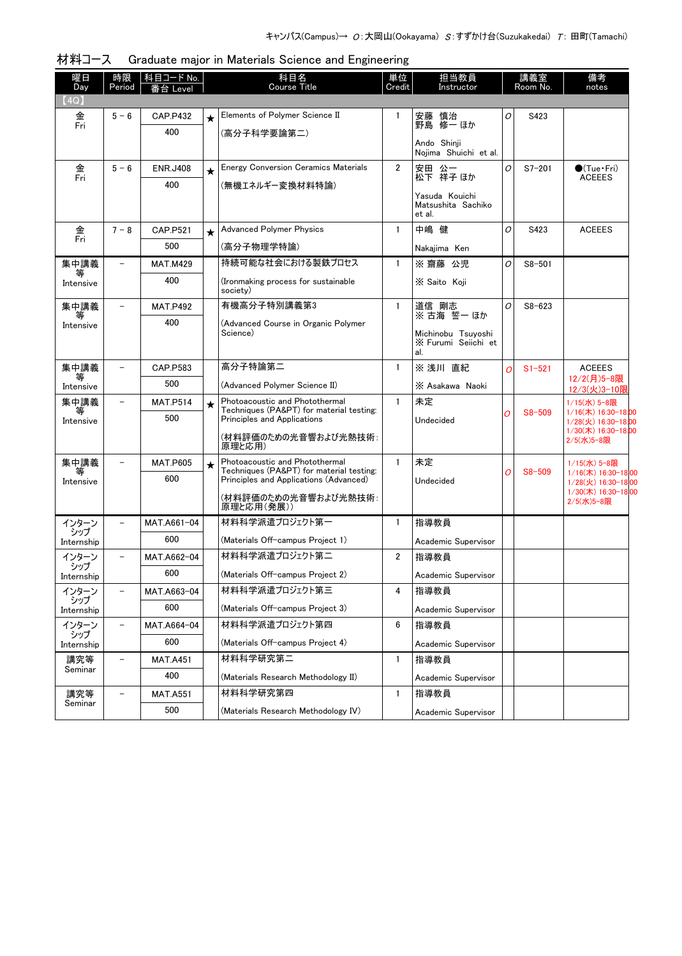| 曜日<br>Day         | 時限<br>Period             | 科目コード No.<br>台 Level |         | 科目名<br><b>Course Title</b>                                                         | 単位<br>Credit   | 担当教員<br>Instructor                               |          | 講義室<br>Room No. | 備考<br>notes                                |
|-------------------|--------------------------|----------------------|---------|------------------------------------------------------------------------------------|----------------|--------------------------------------------------|----------|-----------------|--------------------------------------------|
| (4Q)              |                          |                      |         |                                                                                    |                |                                                  |          |                 |                                            |
| 金                 | $5 - 6$                  | <b>CAP.P432</b>      | $\star$ | Elements of Polymer Science II                                                     | 1              | 安藤 慎治                                            | 0        | S423            |                                            |
| Fri               |                          | 400                  |         | (高分子科学要論第二)                                                                        |                | 野島 修一 ほか                                         |          |                 |                                            |
|                   |                          |                      |         |                                                                                    |                | Ando Shinji<br>Noiima Shuichi et al.             |          |                 |                                            |
| 金                 | $5 - 6$                  | <b>ENR.J408</b>      |         | <b>Energy Conversion Ceramics Materials</b>                                        | $\overline{2}$ | 安田 公一                                            | 0        | $S7 - 201$      | $\bullet$ (Tue · Fri)                      |
| Fri               |                          | 400                  |         | (無機エネルギー変換材料特論)                                                                    |                | 松下 祥子 ほか                                         |          |                 | <b>ACEEES</b>                              |
|                   |                          |                      |         |                                                                                    |                | Yasuda Kouichi<br>Matsushita Sachiko<br>et al.   |          |                 |                                            |
| 金                 | $7 - 8$                  | <b>CAP.P521</b>      | $\star$ | <b>Advanced Polymer Physics</b>                                                    | $\mathbf{1}$   | 中嶋 健                                             | 0        | S423            | <b>ACEEES</b>                              |
| Fri               |                          | 500                  |         | (高分子物理学特論)                                                                         |                | Nakajima Ken                                     |          |                 |                                            |
| 集中講義              |                          | <b>MAT.M429</b>      |         | 持続可能な社会における製鉄プロセス                                                                  | $\mathbf{1}$   | ※ 齋藤 公児                                          | 0        | $S8 - 501$      |                                            |
| 等<br>Intensive    |                          | 400                  |         | (Ironmaking process for sustainable<br>society)                                    |                | X Saito Koji                                     |          |                 |                                            |
| 集中講義              | $\overline{\phantom{m}}$ | <b>MAT.P492</b>      |         | 有機高分子特別講義第3                                                                        | $\mathbf{1}$   | 道信 剛志<br>※ 古海 誓一 ほか                              | O        | $S8 - 623$      |                                            |
| 等<br>Intensive    |                          | 400                  |         | (Advanced Course in Organic Polymer                                                |                |                                                  |          |                 |                                            |
|                   |                          |                      |         | Science)                                                                           |                | Michinobu Tsuyoshi<br>X Furumi Seiichi et<br>al. |          |                 |                                            |
| 集中講義              | $\qquad \qquad -$        | CAP.P583             |         | 高分子特論第二                                                                            | $\mathbf{1}$   | ※ 浅川 直紀                                          | $\Omega$ | $S1 - 521$      | <b>ACEEES</b>                              |
| 等<br>Intensive    |                          | 500                  |         | (Advanced Polymer Science II)                                                      |                | X Asakawa Naoki                                  |          |                 | 12/2(月)5-8限<br>12/3(火)3-10限                |
| 集中講義              | $\equiv$                 | <b>MAT.P514</b>      | $\star$ | Photoacoustic and Photothermal                                                     | $\mathbf{1}$   | 未定                                               |          |                 | 1/15(水) 5-8限                               |
| 等<br>Intensive    |                          | 500                  |         | Techniques (PA&PT) for material testing:<br><b>Principles and Applications</b>     |                | Undecided                                        | O        | $S8 - 509$      | 1/16(木) 16:30-18:00<br>1/28(火) 16:30-18:00 |
|                   |                          |                      |         | (材料評価のための光音響および光熱技術:<br>原理と応用)                                                     |                |                                                  |          |                 | 1/30(木) 16:30-18:00<br>2/5(水)5-8限          |
| 集中講義              |                          | <b>MAT.P605</b>      | $\star$ | Photoacoustic and Photothermal                                                     | $\mathbf{1}$   | 未定                                               |          |                 | 1/15(水) 5-8限                               |
| 等<br>Intensive    |                          | 600                  |         | Techniques (PA&PT) for material testing:<br>Principles and Applications (Advanced) |                | Undecided                                        | 0        | $S8 - 509$      | 1/16(木) 16:30-18:00<br>1/28(火) 16:30-18:00 |
|                   |                          |                      |         | (材料評価のための光音響および光熱技術:<br>原理と応用(発展))                                                 |                |                                                  |          |                 | 1/30(木) 16:30-18:00<br>2/5(水)5-8限          |
| インターン             | $\qquad \qquad -$        | MAT.A661-04          |         | 材料科学派遣プロジェクト第一                                                                     | $\mathbf{1}$   | 指導教員                                             |          |                 |                                            |
| シップ<br>Internship |                          | 600                  |         | (Materials Off-campus Project 1)                                                   |                | Academic Supervisor                              |          |                 |                                            |
| インターン             | $\qquad \qquad -$        | MAT.A662-04          |         | 材料科学派遣プロジェクト第二                                                                     | $\overline{2}$ | 指導教員                                             |          |                 |                                            |
| シップ<br>Internship |                          | 600                  |         | (Materials Off-campus Project 2)                                                   |                | Academic Supervisor                              |          |                 |                                            |
| インターン             | $\qquad \qquad -$        | MAT.A663-04          |         | 材料科学派遣プロジェクト第三                                                                     | 4              | 指導教員                                             |          |                 |                                            |
| シップ<br>Internship |                          | 600                  |         | (Materials Off-campus Project 3)                                                   |                | Academic Supervisor                              |          |                 |                                            |
| インターン             | $\qquad \qquad -$        | MAT.A664-04          |         | 材料科学派遣プロジェクト第四                                                                     | 6              | 指導教員                                             |          |                 |                                            |
| シップ<br>Internship |                          | 600                  |         | (Materials Off-campus Project 4)                                                   |                | Academic Supervisor                              |          |                 |                                            |
| 講究等               | $\overline{\phantom{a}}$ | <b>MAT.A451</b>      |         | 材料科学研究第二                                                                           | $\mathbf{1}$   | 指導教員                                             |          |                 |                                            |
| Seminar           |                          | 400                  |         | (Materials Research Methodology II)                                                |                | Academic Supervisor                              |          |                 |                                            |
| 講究等               | $\overline{\phantom{0}}$ | <b>MAT.A551</b>      |         | 材料科学研究第四                                                                           | 1              | 指導教員                                             |          |                 |                                            |
| Seminar           |                          | 500                  |         | (Materials Research Methodology IV)                                                |                | Academic Supervisor                              |          |                 |                                            |

材料コース Graduate major in Materials Science and Engineering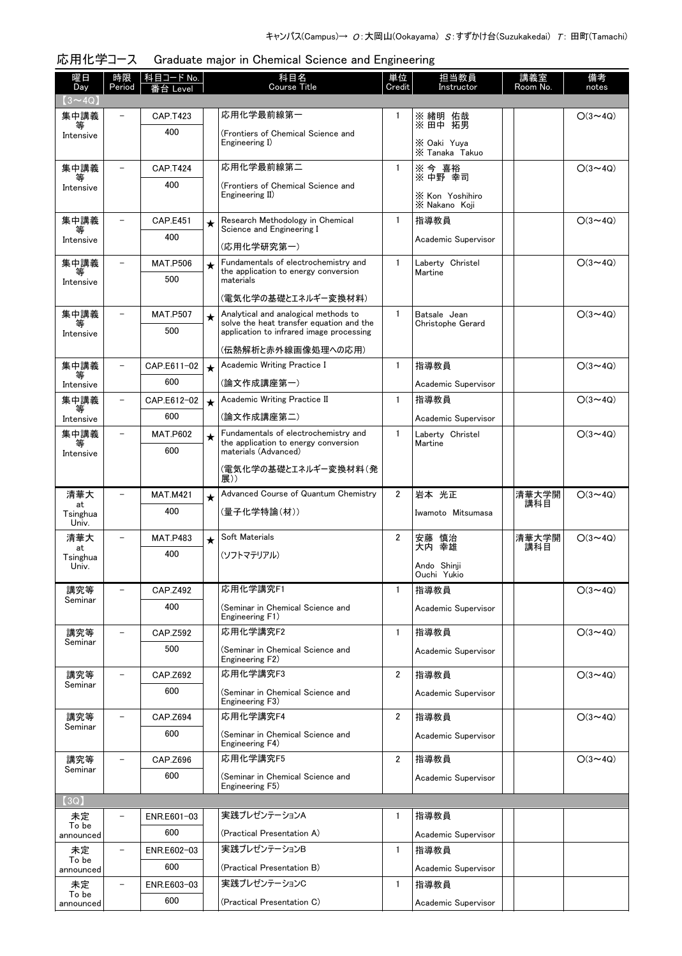| 曜日<br>Day               | 時限<br>Period             | 科目コード No.<br>番台 Level |         | 科目名<br><b>Course Title</b>                                                           | 単位<br>Credit   | 担当教員<br>Instructor            | 講義室<br>Room No. | 備考<br>notes    |
|-------------------------|--------------------------|-----------------------|---------|--------------------------------------------------------------------------------------|----------------|-------------------------------|-----------------|----------------|
| $(3 \sim 4Q)$           |                          |                       |         |                                                                                      |                |                               |                 |                |
| 集中講義                    |                          | <b>CAP.T423</b>       |         | 応用化学最前線第一                                                                            | 1              | ※ 緒明 佑哉<br>※ 田中 拓男            |                 | $O(3 \sim 4Q)$ |
| 等<br>Intensive          |                          | 400                   |         | (Frontiers of Chemical Science and<br>Engineering I)                                 |                |                               |                 |                |
|                         |                          |                       |         |                                                                                      |                | X Oaki Yuya<br>X Tanaka Takuo |                 |                |
| 集中講義                    |                          | <b>CAP.T424</b>       |         | 応用化学最前線第二                                                                            | 1              | ※ 今 喜裕<br>※ 中野 幸司             |                 | $O(3 \sim 4Q)$ |
| Intensive               |                          | 400                   |         | (Frontiers of Chemical Science and<br>Engineering II)                                |                | X Kon Yoshihiro               |                 |                |
|                         |                          |                       |         |                                                                                      |                | X Nakano Koii                 |                 |                |
| 集中講義<br>等               | $\overline{\phantom{0}}$ | <b>CAP.E451</b>       | $\star$ | Research Methodology in Chemical<br>Science and Engineering I                        | $\mathbf{1}$   | 指導教員                          |                 | $O(3 \sim 4Q)$ |
| Intensive               |                          | 400                   |         | (応用化学研究第一)                                                                           |                | Academic Supervisor           |                 |                |
| 集中講義                    | $\equiv$                 | <b>MAT.P506</b>       | $\star$ | Fundamentals of electrochemistry and                                                 | $\mathbf{1}$   | Laberty Christel              |                 | $O(3 \sim 4Q)$ |
| Intensive               |                          | 500                   |         | the application to energy conversion<br>materials                                    |                | Martine                       |                 |                |
|                         |                          |                       |         | (電気化学の基礎とエネルギー変換材料)                                                                  |                |                               |                 |                |
| 集中講義                    |                          | <b>MAT.P507</b>       | $\star$ | Analytical and analogical methods to                                                 | 1              | Batsale Jean                  |                 | $O(3 \sim 4Q)$ |
| 等<br>Intensive          |                          | 500                   |         | solve the heat transfer equation and the<br>application to infrared image processing |                | Christophe Gerard             |                 |                |
|                         |                          |                       |         | (伝熱解析と赤外線画像処理への応用)                                                                   |                |                               |                 |                |
| 集中講義                    |                          | CAP.E611-02           | $\star$ | Academic Writing Practice I                                                          | $\mathbf{1}$   | 指導教員                          |                 | $O(3 \sim 4Q)$ |
| Intensive               |                          | 600                   |         | (論文作成講座第一)                                                                           |                | Academic Supervisor           |                 |                |
| 集中講義                    |                          | CAP.E612-02           | $\star$ | Academic Writing Practice II                                                         | 1              | 指導教員                          |                 | $O(3 \sim 4Q)$ |
| 等<br>Intensive          |                          | 600                   |         | (論文作成講座第二)                                                                           |                | Academic Supervisor           |                 |                |
| 集中講義                    |                          | <b>MAT.P602</b>       | $\star$ | Fundamentals of electrochemistry and<br>the application to energy conversion         | 1              | Laberty Christel<br>Martine   |                 | $O(3 \sim 4Q)$ |
| Intensive               |                          | 600                   |         | materials (Advanced)                                                                 |                |                               |                 |                |
|                         |                          |                       |         | (電気化学の基礎とエネルギー変換材料(発<br>展))                                                          |                |                               |                 |                |
| 清華大                     | $\equiv$                 | <b>MAT.M421</b>       | $\star$ | Advanced Course of Quantum Chemistry                                                 | $\overline{2}$ | 岩本 光正                         | 清華大学開<br>講科目    | $O(3 \sim 4Q)$ |
| at<br>Tsinghua<br>Univ. |                          | 400                   |         | (量子化学特論(材))                                                                          |                | Iwamoto Mitsumasa             |                 |                |
| 清華大                     |                          | <b>MAT.P483</b>       | $\star$ | Soft Materials                                                                       | $\overline{2}$ | 慎治<br>安藤                      | 清華大学開           | $O(3 \sim 4Q)$ |
| at<br>Tsinghua          |                          | 400                   |         | (ソフトマテリアル)                                                                           |                | 大内 幸雄                         | 講科目             |                |
| Univ.                   |                          |                       |         |                                                                                      |                | Ando Shinji<br>Ouchi Yukio    |                 |                |
| 講究等                     |                          | CAP.Z492              |         | 応用化学講究F1                                                                             | 1              | 指導教員                          |                 | $O(3 \sim 4Q)$ |
| Seminar                 |                          | 400                   |         | (Seminar in Chemical Science and<br>Engineering F1)                                  |                | Academic Supervisor           |                 |                |
| 講究等                     |                          | CAP.Z592              |         | 応用化学講究F2                                                                             | 1              | 指導教員                          |                 | $O(3 \sim 4Q)$ |
| Seminar                 |                          | 500                   |         | (Seminar in Chemical Science and<br>Engineering F2)                                  |                | Academic Supervisor           |                 |                |
| 講究等<br>Seminar          |                          | CAP.Z692              |         | 応用化学講究F3                                                                             | $\overline{2}$ | 指導教員                          |                 | $O(3 \sim 4Q)$ |
|                         |                          | 600                   |         | (Seminar in Chemical Science and<br>Engineering F3)                                  |                | Academic Supervisor           |                 |                |
| 講究等                     |                          | CAP.Z694              |         | 応用化学講究F4                                                                             | $\overline{2}$ | 指導教員                          |                 | $O(3 \sim 4Q)$ |
| Seminar                 |                          | 600                   |         | (Seminar in Chemical Science and<br>Engineering F4)                                  |                | Academic Supervisor           |                 |                |
| 講究等                     |                          | CAP.Z696              |         | 応用化学講究F5                                                                             | $\mathbf{2}$   | 指導教員                          |                 | $O(3 \sim 4Q)$ |
| Seminar                 |                          | 600                   |         | (Seminar in Chemical Science and                                                     |                | Academic Supervisor           |                 |                |
| (3Q)                    |                          |                       |         | Engineering F5)                                                                      |                |                               |                 |                |
| 未定                      |                          | ENR.E601-03           |         | 実践プレゼンテーションA                                                                         | 1              | 指導教員                          |                 |                |
| To be<br>announced      |                          | 600                   |         | (Practical Presentation A)                                                           |                | Academic Supervisor           |                 |                |
| 未定                      |                          | ENR.E602-03           |         | 実践プレゼンテーションB                                                                         | 1              | 指導教員                          |                 |                |
| To be<br>announced      |                          | 600                   |         | (Practical Presentation B)                                                           |                | Academic Supervisor           |                 |                |
| 未定                      |                          | ENR.E603-03           |         | 実践プレゼンテーションC                                                                         | 1              | 指導教員                          |                 |                |
| To be<br>announced      |                          | 600                   |         | (Practical Presentation C)                                                           |                | Academic Supervisor           |                 |                |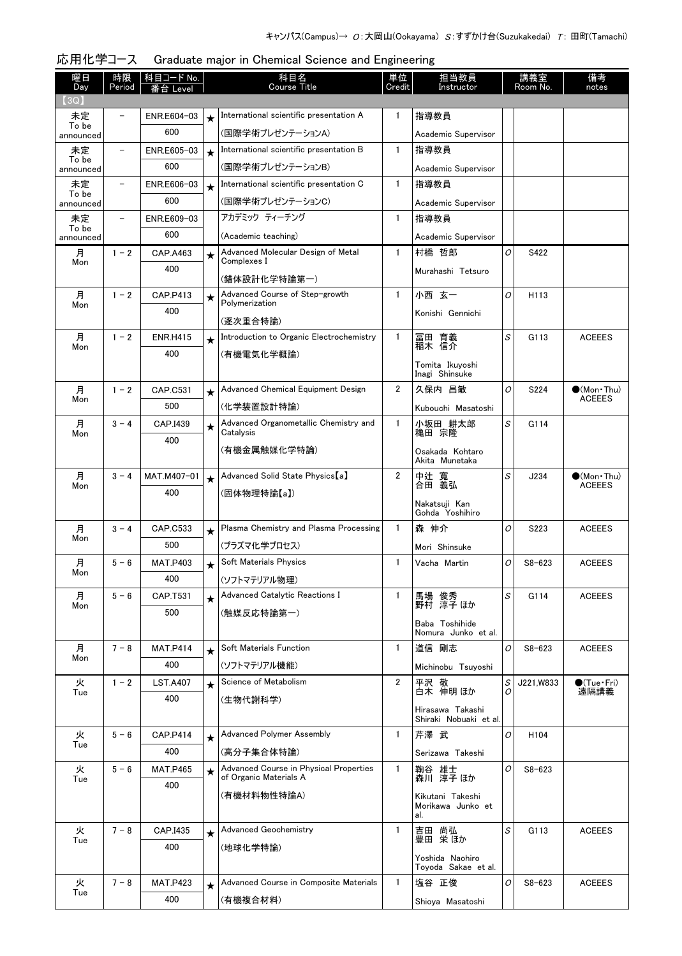| 曜日<br>Day          | 時限<br>Period             | 科目コード No.<br>台 Level |         | 科目名<br>Course Title                              | 単位<br>Credit   | 担当教員<br>Instructor                         |                | 講義室<br>Room No.  | 備考<br>notes                          |
|--------------------|--------------------------|----------------------|---------|--------------------------------------------------|----------------|--------------------------------------------|----------------|------------------|--------------------------------------|
| (3Q)               |                          |                      |         |                                                  |                |                                            |                |                  |                                      |
| 未定                 |                          | ENR.E604-03          | $\star$ | International scientific presentation A          | $\mathbf{1}$   | 指導教員                                       |                |                  |                                      |
| To be<br>announced |                          | 600                  |         | (国際学術プレゼンテーションA)                                 |                | Academic Supervisor                        |                |                  |                                      |
| 未定                 |                          | ENR.E605-03          | $\star$ | International scientific presentation B          | $\mathbf{1}$   | 指導教員                                       |                |                  |                                      |
| To be<br>announced |                          | 600                  |         | (国際学術プレゼンテーションB)                                 |                | Academic Supervisor                        |                |                  |                                      |
| 未定                 |                          | ENR.E606-03          | $\star$ | International scientific presentation C          | $\mathbf{1}$   | 指導教員                                       |                |                  |                                      |
| To be<br>announced |                          | 600                  |         | (国際学術プレゼンテーションC)                                 |                | Academic Supervisor                        |                |                  |                                      |
| 未定                 | $\overline{\phantom{0}}$ | ENR.E609-03          |         | アカデミック ティーチング                                    | $\mathbf{1}$   | 指導教員                                       |                |                  |                                      |
| To be<br>announced |                          | 600                  |         | (Academic teaching)                              |                | Academic Supervisor                        |                |                  |                                      |
| 月                  | $1 - 2$                  | CAP.A463             | $\star$ | Advanced Molecular Design of Metal               | $\mathbf{1}$   | 村橋 哲郎                                      | O              | S422             |                                      |
| Mon                |                          | 400                  |         | Complexes I                                      |                | Murahashi Tetsuro                          |                |                  |                                      |
|                    |                          |                      |         | (錯体設計化学特論第一)                                     |                |                                            |                |                  |                                      |
| 月<br>Mon           | $1 - 2$                  | CAP.P413             | $\star$ | Advanced Course of Step-growth<br>Polymerization | $\mathbf{1}$   | 小西 玄一                                      | O              | H113             |                                      |
|                    |                          | 400                  |         | (逐次重合特論)                                         |                | Konishi Gennichi                           |                |                  |                                      |
| 月                  | $1 - 2$                  | <b>ENR.H415</b>      | $\star$ | Introduction to Organic Electrochemistry         | $\mathbf{1}$   | 冨田 育義                                      | S              | G113             | <b>ACEEES</b>                        |
| Mon                |                          | 400                  |         | (有機電気化学概論)                                       |                | 稲木 信介                                      |                |                  |                                      |
|                    |                          |                      |         |                                                  |                | Tomita Ikuvoshi<br>Inagi Shinsuke          |                |                  |                                      |
| 月                  | $1 - 2$                  | CAP.C531             | $\star$ | Advanced Chemical Equipment Design               | $\overline{2}$ | 久保内 昌敏                                     | O              | S224             | $\bullet$ (Mon Thu)                  |
| Mon                |                          | 500                  |         | (化学装置設計特論)                                       |                | Kubouchi Masatoshi                         |                |                  | <b>ACEEES</b>                        |
| 月                  | $3 - 4$                  | CAP.I439             |         | Advanced Organometallic Chemistry and            | $\mathbf{1}$   | 小坂田 耕太郎                                    | S              | G114             |                                      |
| Mon                |                          | 400                  | $\star$ | Catalysis                                        |                | 穐田 宗隆                                      |                |                  |                                      |
|                    |                          |                      |         | (有機金属触媒化学特論)                                     |                | Osakada Kohtaro                            |                |                  |                                      |
|                    |                          |                      |         |                                                  |                | Akita Munetaka                             |                |                  |                                      |
| 月<br>Mon           | $3 - 4$                  | MAT.M407-01          | $\star$ | Advanced Solid State Physics [a]                 | $\overline{2}$ | 中辻 寬<br>合田 義弘                              | S              | J234             | $\bullet$ (Mon Thu)<br><b>ACEEES</b> |
|                    |                          | 400                  |         | (固体物理特論【a】)                                      |                | Nakatsuji Kan                              |                |                  |                                      |
|                    |                          |                      |         |                                                  |                | Gohda Yoshihiro                            |                |                  |                                      |
| 月<br>Mon           | $3 - 4$                  | CAP.C533             | $\star$ | Plasma Chemistry and Plasma Processing           | $\mathbf{1}$   | 森 伸介                                       | O              | S223             | <b>ACEEES</b>                        |
|                    |                          | 500                  |         | (プラズマ化学プロセス)                                     |                | Mori Shinsuke                              |                |                  |                                      |
| 月<br>Mon           | $5 - 6$                  | <b>MAT.P403</b>      | $\star$ | Soft Materials Physics                           | $\mathbf{1}$   | Vacha Martin                               | 0              | $S8 - 623$       | <b>ACEEES</b>                        |
|                    |                          | 400                  |         | (ソフトマテリアル物理)                                     |                |                                            |                |                  |                                      |
| 月<br>Mon           | $5 - 6$                  | CAP.T531             | $\star$ | Advanced Catalytic Reactions I                   | $\mathbf{1}$   | 馬場 俊秀<br>野村 淳子 ほか                          | S              | G114             | <b>ACEEES</b>                        |
|                    |                          | 500                  |         | (触媒反応特論第一)                                       |                | Baba Toshihide                             |                |                  |                                      |
|                    |                          |                      |         |                                                  |                | Nomura Junko et al.                        |                |                  |                                      |
| 月                  | $7 - 8$                  | <b>MAT.P414</b>      | $\star$ | Soft Materials Function                          | $\mathbf{1}$   | 道信 剛志                                      | O              | $S8 - 623$       | <b>ACEEES</b>                        |
| Mon                |                          | 400                  |         | (ソフトマテリアル機能)                                     |                | Michinobu Tsuyoshi                         |                |                  |                                      |
| 火                  | $1 - 2$                  | <b>LST.A407</b>      | $\star$ | Science of Metabolism                            | $\overline{2}$ | 平沢 敬                                       | S              | J221.W833        | $\bullet$ (Tue · Fri)                |
| Tue                |                          | 400                  |         | (生物代謝科学)                                         |                | 白木 伸明 ほか                                   | Ω              |                  | 遠隔講義                                 |
|                    |                          |                      |         |                                                  |                | Hirasawa Takashi<br>Shiraki Nobuaki et al. |                |                  |                                      |
| 火                  | $5 - 6$                  | <b>CAP.P414</b>      | $\star$ | Advanced Polymer Assembly                        | $\mathbf{1}$   | 芹澤 武                                       | O              | H <sub>104</sub> |                                      |
| Tue                |                          | 400                  |         | (高分子集合体特論)                                       |                | Serizawa Takeshi                           |                |                  |                                      |
| 火                  | $5 - 6$                  | <b>MAT.P465</b>      | $\star$ | Advanced Course in Physical Properties           | $\mathbf{1}$   | 鞠谷 雄士                                      | $\overline{O}$ | $S8 - 623$       |                                      |
| Tue                |                          | 400                  |         | of Organic Materials A                           |                | 森川 淳子 ほか                                   |                |                  |                                      |
|                    |                          |                      |         | (有機材料物性特論A)                                      |                | Kikutani Takeshi<br>Morikawa Junko et      |                |                  |                                      |
|                    |                          |                      |         |                                                  |                | al.                                        |                |                  |                                      |
| 火<br>Tue           | $7 - 8$                  | CAP.I435             | $\star$ | <b>Advanced Geochemistry</b>                     | $\mathbf{1}$   | 吉田 尚弘<br>豊田 栄ほか                            | S              | G113             | <b>ACEEES</b>                        |
|                    |                          | 400                  |         | (地球化学特論)                                         |                |                                            |                |                  |                                      |
|                    |                          |                      |         |                                                  |                | Yoshida Naohiro<br>Toyoda Sakae et al.     |                |                  |                                      |
| 火                  | $7 - 8$                  | <b>MAT.P423</b>      | $\star$ | Advanced Course in Composite Materials           | $\mathbf{1}$   | 塩谷 正俊                                      | $\overline{O}$ | $S8 - 623$       | <b>ACEEES</b>                        |
| Tue                |                          | 400                  |         | (有機複合材料)                                         |                | Shioya Masatoshi                           |                |                  |                                      |

| 応用化学コース Graduate major in Chemical Science and Engineering |  |
|------------------------------------------------------------|--|
|                                                            |  |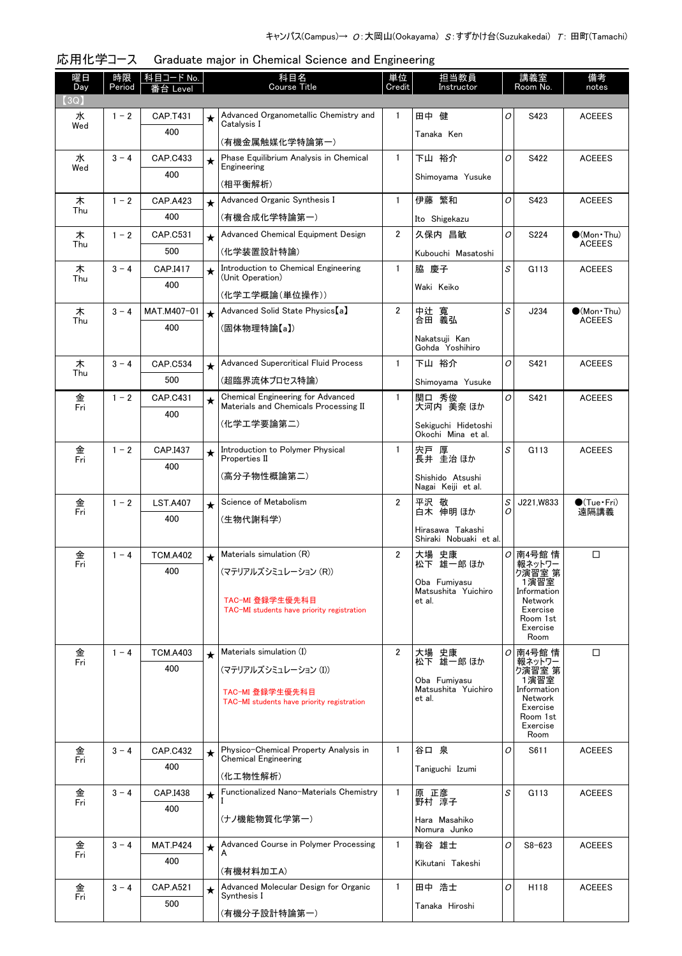| 曜日<br>Day | 時限<br>Period | 科目コード No.<br>番台 Level  |         | 科目名<br><b>Course Title</b>                                                        | 単位<br>Credit   | 担当教員<br>Instructor                         |        | 講義室<br>Room No.           | 備考<br>notes                          |
|-----------|--------------|------------------------|---------|-----------------------------------------------------------------------------------|----------------|--------------------------------------------|--------|---------------------------|--------------------------------------|
| 【3Q】      |              |                        |         |                                                                                   |                |                                            |        |                           |                                      |
| 水         | $1 - 2$      | CAP.T431               | $\star$ | Advanced Organometallic Chemistry and                                             | $\mathbf{1}$   | 田中 健                                       | 0      | S423                      | <b>ACEEES</b>                        |
| Wed       |              | 400                    |         | Catalysis I<br>(有機金属触媒化学特論第一)                                                     |                | Tanaka Ken                                 |        |                           |                                      |
| 水         | $3 - 4$      | CAP.C433               | $\star$ | Phase Equilibrium Analysis in Chemical                                            | $\mathbf{1}$   | 下山 裕介                                      | O      | S422                      | <b>ACEEES</b>                        |
| Wed       |              | 400                    |         | Engineering                                                                       |                | Shimoyama Yusuke                           |        |                           |                                      |
|           |              |                        |         | (相平衡解析)<br>Advanced Organic Synthesis I                                           | 1              | 伊藤 繁和                                      | 0      |                           |                                      |
| 木<br>Thu  | $1 - 2$      | <b>CAP.A423</b><br>400 | $\star$ |                                                                                   |                |                                            |        | S423                      | <b>ACEEES</b>                        |
|           |              |                        |         | (有機合成化学特論第一)                                                                      |                | Ito Shigekazu                              |        |                           |                                      |
| 木<br>Thu  | $1 - 2$      | CAP.C531               | $\star$ | Advanced Chemical Equipment Design                                                | $\overline{2}$ | 久保内 昌敏                                     | O      | S224                      | $\bullet$ (Mon•Thu)<br><b>ACEEES</b> |
|           |              | 500                    |         | (化学装置設計特論)                                                                        |                | Kubouchi Masatoshi                         |        |                           |                                      |
| 木<br>Thu  | $3 - 4$      | CAP.I417               | $\star$ | Introduction to Chemical Engineering<br>(Unit Operation)                          | $\mathbf{1}$   | 脇 慶子                                       | S      | G113                      | <b>ACEEES</b>                        |
|           |              | 400                    |         | (化学工学概論(単位操作))                                                                    |                | Waki Keiko                                 |        |                           |                                      |
| 木         | $3 - 4$      | MAT.M407-01            | $\star$ | Advanced Solid State Physics [a]                                                  | $\overline{2}$ | 中辻 寬                                       | S      | J234                      | $\bullet$ (Mon Thu)                  |
| Thu       |              | 400                    |         | (固体物理特論【a】)                                                                       |                | 合田 義弘                                      |        |                           | <b>ACEEES</b>                        |
|           |              |                        |         |                                                                                   |                | Nakatsuji Kan<br>Gohda Yoshihiro           |        |                           |                                      |
| 木<br>Thu  | $3 - 4$      | CAP.C534               | $\star$ | <b>Advanced Supercritical Fluid Process</b>                                       | $\mathbf{1}$   | 下山 裕介                                      | 0      | S421                      | <b>ACEEES</b>                        |
|           |              | 500                    |         | (超臨界流体プロセス特論)                                                                     |                | Shimovama Yusuke                           |        |                           |                                      |
| 金<br>Fri  | $1 - 2$      | CAP.C431               | $\star$ | <b>Chemical Engineering for Advanced</b><br>Materials and Chemicals Processing II | $\mathbf{1}$   | 関口 秀俊<br>大河内 美奈 ほか                         | 0      | S421                      | <b>ACEEES</b>                        |
|           |              | 400                    |         | (化学エ学要論第二)                                                                        |                | Sekiguchi Hidetoshi                        |        |                           |                                      |
|           |              |                        |         |                                                                                   |                | Okochi Mina et al.                         |        |                           |                                      |
| 金<br>Fri  | $1 - 2$      | CAP.I437               | $\star$ | Introduction to Polymer Physical<br>Properties II                                 | $\mathbf{1}$   | 宍戸 厚<br>長井 圭治 ほか                           | S      | G113                      | <b>ACEEES</b>                        |
|           |              | 400                    |         | (高分子物性概論第二)                                                                       |                | Shishido Atsushi                           |        |                           |                                      |
|           |              |                        |         |                                                                                   |                | Nagai Keiji et al.                         |        |                           |                                      |
| 金<br>Fri  | $1 - 2$      | <b>LST.A407</b>        | $\star$ | Science of Metabolism                                                             | $\overline{2}$ | 平沢<br>敬<br>白木 伸明 ほか                        | S<br>Ω | J221.W833                 | $\bigcirc$ (Tue · Fri)<br>遠隔講義       |
|           |              | 400                    |         | (生物代謝科学)                                                                          |                |                                            |        |                           |                                      |
|           |              |                        |         |                                                                                   |                | Hirasawa Takashi<br>Shiraki Nobuaki et al. |        |                           |                                      |
| 金         | $1 - 4$      | <b>TCM.A402</b>        | $\star$ | Materials simulation (R)                                                          | $\overline{2}$ | 大場 史康<br>松下 雄一郎 ほか                         |        | <b>○南4号館情</b>             | □                                    |
| Fri       |              | 400                    |         | (マテリアルズシミュレーション (R))                                                              |                |                                            |        | 報ネットワー<br>ク演習室 第          |                                      |
|           |              |                        |         |                                                                                   |                | Oba Fumiyasu<br>Matsushita Yuichiro        |        | 1演皆室<br>Information       |                                      |
|           |              |                        |         | TAC-MI 登録学生優先科目<br>TAC-MI students have priority registration                     |                | et al.                                     |        | Network<br>Exercise       |                                      |
|           |              |                        |         |                                                                                   |                |                                            |        | Room 1st<br>Exercise      |                                      |
|           |              |                        |         |                                                                                   |                |                                            |        | Room                      |                                      |
| 金<br>Fri  | $1 - 4$      | <b>TCM.A403</b>        | $\star$ | Materials simulation (I)                                                          | $\overline{2}$ | 大場 史康<br>松下 雄一郎 ほか                         |        | <i>O</i> 南4号館 情<br>報ネットワー | $\Box$                               |
|           |              | 400                    |         | (マテリアルズシミュレーション (I))                                                              |                | Oba Fumiyasu                               |        | ク演習室 第<br>1演習室            |                                      |
|           |              |                        |         | TAC-MI 登録学生優先科目                                                                   |                | Matsushita Yuichiro<br>et al.              |        | Information<br>Network    |                                      |
|           |              |                        |         | TAC-MI students have priority registration                                        |                |                                            |        | Exercise<br>Room 1st      |                                      |
|           |              |                        |         |                                                                                   |                |                                            |        | Exercise<br>Room          |                                      |
| 金         | $3 - 4$      | <b>CAP.C432</b>        |         | Physico-Chemical Property Analysis in                                             | $\mathbf{1}$   | 谷口 泉                                       | O      | S611                      | <b>ACEEES</b>                        |
| Fri       |              | 400                    | $\star$ | <b>Chemical Engineering</b>                                                       |                | Taniguchi Izumi                            |        |                           |                                      |
|           |              |                        |         | (化工物性解析)                                                                          |                |                                            |        |                           |                                      |
| 金<br>Fri  | $3 - 4$      | CAP.I438               | $\star$ | Functionalized Nano-Materials Chemistry                                           | $\mathbf{1}$   | 原 正彦<br>野村 淳子                              | S      | G113                      | <b>ACEEES</b>                        |
|           |              | 400                    |         | (ナノ機能物質化学第一)                                                                      |                | Hara Masahiko                              |        |                           |                                      |
|           |              |                        |         |                                                                                   |                | Nomura Junko                               |        |                           |                                      |
| 金<br>Fri  | $3 - 4$      | <b>MAT.P424</b>        | $\star$ | Advanced Course in Polymer Processing<br>A                                        | $\mathbf{1}$   | 鞠谷 雄士                                      | O      | $S8 - 623$                | <b>ACEEES</b>                        |
|           |              | 400                    |         | (有機材料加工A)                                                                         |                | Kikutani Takeshi                           |        |                           |                                      |
| 金         | $3 - 4$      | CAP.A521               |         | Advanced Molecular Design for Organic                                             | $\mathbf{1}$   | 田中 浩士                                      | O      | H118                      | <b>ACEEES</b>                        |
| Fri       |              | 500                    | $\star$ | Synthesis I                                                                       |                | Tanaka Hiroshi                             |        |                           |                                      |
|           |              |                        |         | (有機分子設計特論第一)                                                                      |                |                                            |        |                           |                                      |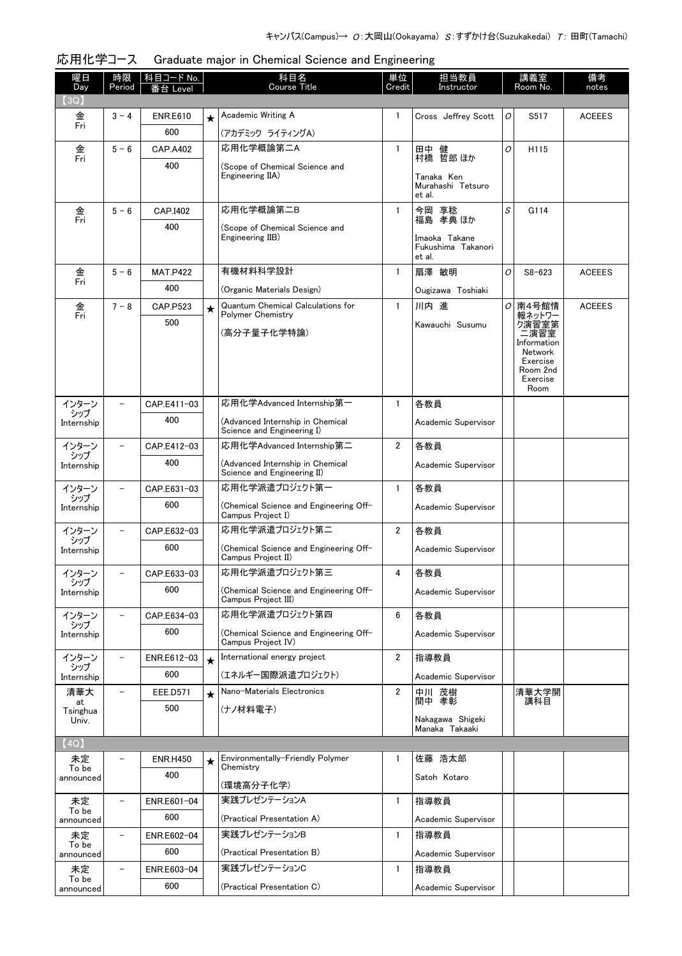| 曜日                          | 時限                       | <u>科目コード No.</u>       |         | 科目名<br>Course Title                                             | 単位<br>Credit | 担当教員                                      |    | 講義室<br>Room No.        | 備考            |
|-----------------------------|--------------------------|------------------------|---------|-----------------------------------------------------------------|--------------|-------------------------------------------|----|------------------------|---------------|
| Day<br>(3Q)                 | Period                   | i台 Level               |         |                                                                 |              | Instructor                                |    |                        | notes         |
| 金                           | $3 - 4$                  | <b>ENR.E610</b>        | $\star$ | Academic Writing A                                              | 1            | Cross Jeffrey Scott                       | 0  | S517                   | <b>ACEEES</b> |
| Fri                         |                          | 600                    |         | (アカデミック ライティングA)                                                |              |                                           |    |                        |               |
| 金                           | $5 - 6$                  | <b>CAP.A402</b>        |         | 応用化学概論第二A                                                       | $\mathbf{1}$ | 田中 健                                      | 0  | H115                   |               |
| Fri                         |                          | 400                    |         | (Scope of Chemical Science and                                  |              | 村橋 哲郎 ほか                                  |    |                        |               |
|                             |                          |                        |         | Engineering IIA)                                                |              | Tanaka Ken<br>Murahashi Tetsuro<br>et al. |    |                        |               |
| 金<br>Fri                    | $5 - 6$                  | CAP.I402               |         | 応用化学概論第二B                                                       | $\mathbf{1}$ | 今岡 享稔<br>福島 孝典 ほか                         | S  | G114                   |               |
|                             |                          | 400                    |         | (Scope of Chemical Science and<br>Engineering IIB)              |              | Imaoka Takane                             |    |                        |               |
|                             |                          |                        |         |                                                                 |              | Fukushima Takanori<br>et al.              |    |                        |               |
| 金<br>Fri                    | $5 - 6$                  | <b>MAT.P422</b>        |         | 有機材料科学設計                                                        | $\mathbf{1}$ | 扇澤 敏明                                     | 0  | $S8 - 623$             | <b>ACEEES</b> |
|                             |                          | 400                    |         | (Organic Materials Design)                                      |              | Ougizawa Toshiaki                         |    |                        |               |
| 金<br>Fri                    | $7 - 8$                  | CAP.P523               | $\star$ | <b>Quantum Chemical Calculations for</b><br>Polymer Chemistry   | $\mathbf{1}$ | 川内 進                                      | Οl | 南4号館情<br>報ネットワー        | <b>ACEEES</b> |
|                             |                          | 500                    |         | (高分子量子化学特論)                                                     |              | Kawauchi Susumu                           |    | り演習室第<br>二演習室          |               |
|                             |                          |                        |         |                                                                 |              |                                           |    | Information<br>Network |               |
|                             |                          |                        |         |                                                                 |              |                                           |    | Exercise<br>Room 2nd   |               |
|                             |                          |                        |         |                                                                 |              |                                           |    | Exercise<br>Room       |               |
|                             |                          | CAP.E411-03            |         | 応用化学Advanced Internship第一                                       | 1            | 各教員                                       |    |                        |               |
| インターン<br>・シップ<br>Internship |                          | 400                    |         | (Advanced Internship in Chemical                                |              | Academic Supervisor                       |    |                        |               |
|                             |                          |                        |         | Science and Engineering I)                                      |              |                                           |    |                        |               |
| インターン<br>シップ                |                          | CAP.E412-03            |         | 応用化学Advanced Internship第二                                       | 2            | 各教員                                       |    |                        |               |
| Internship                  |                          | 400                    |         | (Advanced Internship in Chemical<br>Science and Engineering II) |              | Academic Supervisor                       |    |                        |               |
| インターン                       |                          | CAP.E631-03            |         | 応用化学派遣プロジェクト第一                                                  | $\mathbf{1}$ | 各教員                                       |    |                        |               |
| シップ<br>Internship           |                          | 600                    |         | (Chemical Science and Engineering Off-<br>Campus Project I)     |              | Academic Supervisor                       |    |                        |               |
| インターン<br>シップ                |                          | CAP.E632-03            |         | 応用化学派遣プロジェクト第二                                                  | 2            | 各教員                                       |    |                        |               |
| Internship                  |                          | 600                    |         | (Chemical Science and Engineering Off-<br>Campus Project II)    |              | Academic Supervisor                       |    |                        |               |
| インターン<br>シップ                |                          | CAP.E633-03            |         | 応用化学派遣プロジェクト第三                                                  | 4            | 各教員                                       |    |                        |               |
| Internship                  |                          | 600                    |         | (Chemical Science and Engineering Off-<br>Campus Project III)   |              | Academic Supervisor                       |    |                        |               |
| インターン<br>シップ                |                          | CAP.E634-03            |         | 応用化学派遣プロジェクト第四                                                  | 6            | 各教員                                       |    |                        |               |
| Internship                  |                          | 600                    |         | (Chemical Science and Engineering Off-<br>Campus Project IV)    |              | Academic Supervisor                       |    |                        |               |
| インターン<br>シップ                |                          | ENR.E612-03            | $\star$ | International energy project                                    | 2            | 指導教員                                      |    |                        |               |
| Internship                  |                          | 600                    |         | (エネルギー国際派遣プロジェクト)                                               |              | Academic Supervisor                       |    |                        |               |
| 清華大<br>at                   | $\qquad \qquad -$        | EEE.D571               | $\star$ | Nano-Materials Electronics                                      | 2            | 中川 茂樹<br>間中 孝彰                            |    | 清華大学開<br>講科目           |               |
| Tsinghua<br>Univ.           |                          | 500                    |         | (ナノ材料電子)                                                        |              | Nakagawa Shigeki                          |    |                        |               |
|                             |                          |                        |         |                                                                 |              | Manaka Takaaki                            |    |                        |               |
| (4Q)                        |                          |                        |         |                                                                 |              |                                           |    |                        |               |
| 未定<br>To be                 |                          | <b>ENR.H450</b><br>400 | $\star$ | Environmentally-Friendly Polymer<br>Chemistry                   | 1            | 佐藤 浩太郎                                    |    |                        |               |
| announced                   |                          |                        |         | (環境高分子化学)                                                       |              | Satoh Kotaro                              |    |                        |               |
| 未定<br>To be                 | $\qquad \qquad -$        | ENR.E601-04            |         | 実践プレゼンテーションA                                                    | 1            | 指導教員                                      |    |                        |               |
| announced                   |                          | 600                    |         | (Practical Presentation A)                                      |              | Academic Supervisor                       |    |                        |               |
| 未定<br>To be                 | $\qquad \qquad -$        | ENR.E602-04            |         | 実践プレゼンテーションB                                                    | 1            | 指導教員                                      |    |                        |               |
| announced                   |                          | 600                    |         | (Practical Presentation B)                                      |              | Academic Supervisor                       |    |                        |               |
| 未定<br>To be                 | $\overline{\phantom{a}}$ | ENR.E603-04            |         | 実践プレゼンテーションC                                                    | 1            | 指導教員                                      |    |                        |               |
| announced                   |                          | 600                    |         | (Practical Presentation C)                                      |              | Academic Supervisor                       |    |                        |               |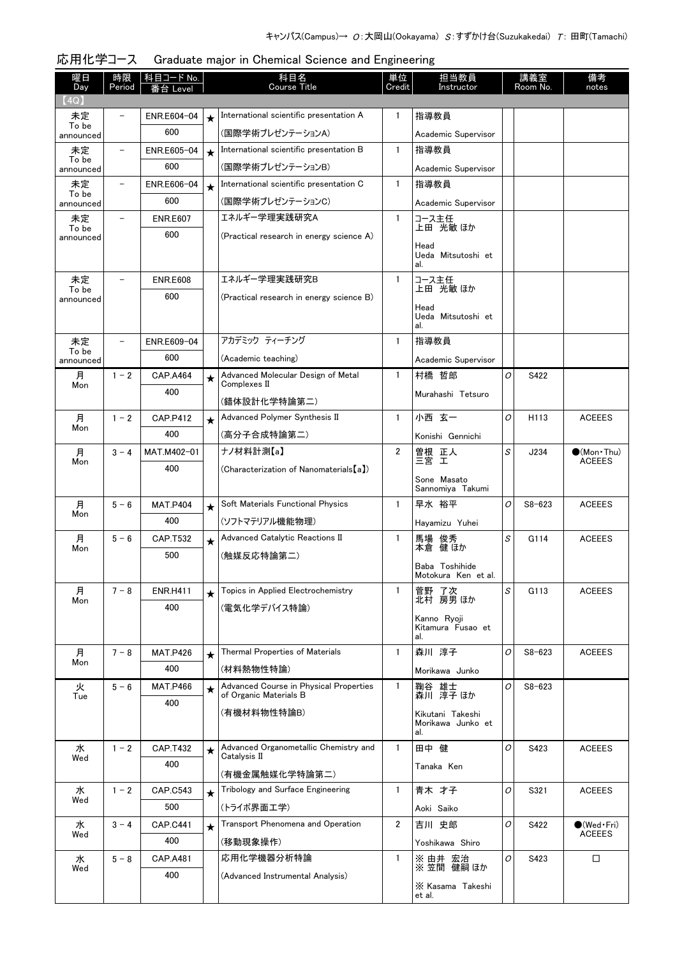| 曜日                 | 時限<br>Period | 科目コード No.       |         | 科目名<br>Course Title                                              | 単位<br>Credit   | 担当教員<br>Instructor                    |          | 講義室<br>Room No.  | 備考                          |
|--------------------|--------------|-----------------|---------|------------------------------------------------------------------|----------------|---------------------------------------|----------|------------------|-----------------------------|
| Day<br>(4Q)        |              | Leve            |         |                                                                  |                |                                       |          |                  | notes                       |
| 未定                 |              | ENR.E604-04     | $\star$ | International scientific presentation A                          | $\mathbf{1}$   | 指導教員                                  |          |                  |                             |
| To be<br>announced |              | 600             |         | (国際学術プレゼンテーションA)                                                 |                | Academic Supervisor                   |          |                  |                             |
| 未定                 |              | ENR.E605-04     | $\star$ | International scientific presentation B                          | $\mathbf{1}$   | 指導教員                                  |          |                  |                             |
| To be<br>announced |              | 600             |         | (国際学術プレゼンテーションB)                                                 |                | Academic Supervisor                   |          |                  |                             |
| 未定                 |              | ENR.E606-04     | $\star$ | International scientific presentation C                          | $\mathbf{1}$   | 指導教員                                  |          |                  |                             |
| To be<br>announced |              | 600             |         | (国際学術プレゼンテーションC)                                                 |                | Academic Supervisor                   |          |                  |                             |
| 未定                 |              | <b>ENR.E607</b> |         | エネルギー学理実践研究A                                                     | $\mathbf{1}$   | コース主任<br>上田 光敏 ほか                     |          |                  |                             |
| To be<br>announced |              | 600             |         | (Practical research in energy science A)                         |                |                                       |          |                  |                             |
|                    |              |                 |         |                                                                  |                | Head<br>Ueda Mitsutoshi et            |          |                  |                             |
| 未定                 |              | <b>ENR.E608</b> |         | エネルギー学理実践研究B                                                     | $\mathbf{1}$   | al.                                   |          |                  |                             |
| To be              |              | 600             |         | (Practical research in energy science B)                         |                | コース主任<br>上田 光敏 ほか                     |          |                  |                             |
| announced          |              |                 |         |                                                                  |                | Head                                  |          |                  |                             |
|                    |              |                 |         |                                                                  |                | Ueda Mitsutoshi et<br>al.             |          |                  |                             |
| 未定                 |              | ENR.E609-04     |         | アカデミック ティーチング                                                    | $\mathbf{1}$   | 指導教員                                  |          |                  |                             |
| To be<br>announced |              | 600             |         | (Academic teaching)                                              |                | Academic Supervisor                   |          |                  |                             |
| 月<br>Mon           | $1 - 2$      | <b>CAP.A464</b> | $\star$ | Advanced Molecular Design of Metal<br>Complexes II               | $\mathbf{1}$   | 村橋 哲郎                                 | $\Omega$ | S422             |                             |
|                    |              | 400             |         | (錯体設計化学特論第二)                                                     |                | Murahashi Tetsuro                     |          |                  |                             |
| 月                  | $1 - 2$      | <b>CAP.P412</b> | $\star$ | Advanced Polymer Synthesis II                                    | $\mathbf{1}$   | 小西 玄一                                 | O        | H <sub>113</sub> | <b>ACEEES</b>               |
| Mon                |              | 400             |         | (高分子合成特論第二)                                                      |                | Konishi Gennichi                      |          |                  |                             |
| 月                  | $3 - 4$      | MAT.M402-01     |         | ナノ材料計測【a】                                                        | $\overline{2}$ |                                       | S        | J234             | $\bullet$ (Mon · Thu)       |
| Mon                |              | 400             |         | (Characterization of Nanomaterials [a])                          |                | 曽根 正人<br>三宮 工                         |          |                  | <b>ACEEES</b>               |
|                    |              |                 |         |                                                                  |                | Sone Masato<br>Sannomiya Takumi       |          |                  |                             |
| 月                  | $5 - 6$      | <b>MAT.P404</b> | $\star$ | Soft Materials Functional Physics                                | $\mathbf{1}$   | 早水 裕平                                 | 0        | $S8 - 623$       | <b>ACEEES</b>               |
| Mon                |              | 400             |         | (ソフトマテリアル機能物理)                                                   |                | Hayamizu Yuhei                        |          |                  |                             |
| 月                  | $5 - 6$      | CAP.T532        | $\star$ | Advanced Catalytic Reactions II                                  | 1              | 馬場 俊秀                                 | S        | G114             | <b>ACEEES</b>               |
| Mon                |              | 500             |         | (触媒反応特論第二)                                                       |                | 本倉 健 ほか                               |          |                  |                             |
|                    |              |                 |         |                                                                  |                | Baba Toshihide<br>Motokura Ken et al. |          |                  |                             |
| 月                  | $7 - 8$      | <b>ENR.H411</b> | $\star$ | Topics in Applied Electrochemistry                               | $\mathbf{1}$   | 菅野 了次                                 | S        | G113             | <b>ACEEES</b>               |
| Mon                |              | 400             |         | (電気化学デバイス特論)                                                     |                | 北村 房男 ほか                              |          |                  |                             |
|                    |              |                 |         |                                                                  |                | Kanno Ryoji<br>Kitamura Fusao et      |          |                  |                             |
|                    |              |                 |         |                                                                  |                | al.                                   |          |                  |                             |
| 月<br>Mon           | $7 - 8$      | <b>MAT.P426</b> | $\star$ | Thermal Properties of Materials                                  | $\mathbf{1}$   | 森川 淳子                                 | O        | $S8 - 623$       | <b>ACEEES</b>               |
|                    |              | 400             |         | (材料熱物性特論)                                                        |                | Morikawa Junko                        |          |                  |                             |
| 火<br>Tue           | $5 - 6$      | <b>MAT.P466</b> | $\star$ | Advanced Course in Physical Properties<br>of Organic Materials B | $\mathbf{1}$   | 鞠谷 雄士<br>森川 淳子ほか                      | O        | $S8 - 623$       |                             |
|                    |              | 400             |         | (有機材料物性特論B)                                                      |                | Kikutani Takeshi                      |          |                  |                             |
|                    |              |                 |         |                                                                  |                | Morikawa Junko et<br>al.              |          |                  |                             |
| 水                  | $1 - 2$      | <b>CAP.T432</b> | $\star$ | Advanced Organometallic Chemistry and                            | $\mathbf{1}$   | 田中 健                                  | O        | S423             | <b>ACEEES</b>               |
| Wed                |              | 400             |         | Catalysis II                                                     |                | Tanaka Ken                            |          |                  |                             |
| 水                  | $1 - 2$      | CAP.C543        |         | (有機金属触媒化学特論第二)<br>Tribology and Surface Engineering              | $\mathbf{1}$   | 青木 才子                                 | O        | S321             | <b>ACEEES</b>               |
| Wed                |              | 500             | $\star$ | (トライボ界面工学)                                                       |                | Aoki Saiko                            |          |                  |                             |
| 水                  | $3 - 4$      | <b>CAP.C441</b> | $\star$ | Transport Phenomena and Operation                                | $\overline{2}$ | 吉川 史郎                                 | O        | S422             | $\bullet$ (Wed $\cdot$ Fri) |
| Wed                |              | 400             |         | (移動現象操作)                                                         |                | Yoshikawa Shiro                       |          |                  | <b>ACEEES</b>               |
| 水                  | $5 - 8$      | <b>CAP.A481</b> |         | 応用化学機器分析特論                                                       | 1              | ※ 由井 宏治                               | O        | S423             | $\Box$                      |
| Wed                |              | 400             |         | (Advanced Instrumental Analysis)                                 |                | ※笠間 健嗣 ほか                             |          |                  |                             |
|                    |              |                 |         |                                                                  |                | X Kasama Takeshi<br>et al.            |          |                  |                             |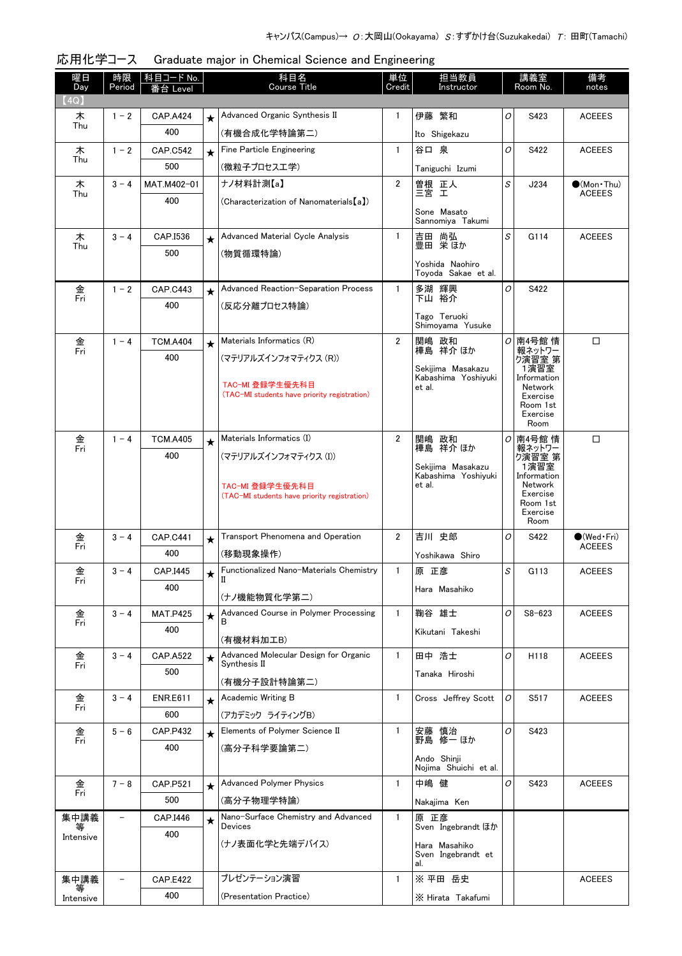| 曜日<br>Day | 時限<br>Period      | <u>科目コード No.</u><br>·台 Level |         | 科目名<br>Course Title                                   | 単位<br>Credit   | 担当教員<br>Instructor                       |   | 講義室<br>Room No.        | 備考<br>notes           |
|-----------|-------------------|------------------------------|---------|-------------------------------------------------------|----------------|------------------------------------------|---|------------------------|-----------------------|
| (4Q)      |                   |                              |         |                                                       |                |                                          |   |                        |                       |
| 木         | $1 - 2$           | <b>CAP.A424</b>              | $\star$ | Advanced Organic Synthesis II                         | 1              | 伊藤 繁和                                    | 0 | S423                   | <b>ACEEES</b>         |
| Thu       |                   | 400                          |         | (有機合成化学特論第二)                                          |                | Ito Shigekazu                            |   |                        |                       |
| 木         | $1 - 2$           | <b>CAP.C542</b>              | $\star$ | Fine Particle Engineering                             | $\mathbf{1}$   | 谷口 泉                                     | 0 | S422                   | <b>ACEEES</b>         |
| Thu       |                   | 500                          |         | (微粒子プロセスエ学)                                           |                | Taniguchi Izumi                          |   |                        |                       |
| 木         | $3 - 4$           | MAT.M402-01                  |         | ナノ材料計測【a】                                             | $\overline{2}$ | 曽根 正人<br>三宮 工                            | S | J234                   | $\bullet$ (Mon · Thu) |
| Thu       |                   | 400                          |         | (Characterization of Nanomaterials [a])               |                |                                          |   |                        | <b>ACEEES</b>         |
|           |                   |                              |         |                                                       |                | Sone Masato<br>Sannomiya Takumi          |   |                        |                       |
| 木<br>Thu  | $3 - 4$           | CAP.I536                     | $\star$ | Advanced Material Cycle Analysis                      | $\mathbf{1}$   | 吉田 尚弘<br>豊田 栄ほか                          | S | G114                   | <b>ACEEES</b>         |
|           |                   | 500                          |         | (物質循環特論)                                              |                |                                          |   |                        |                       |
|           |                   |                              |         |                                                       |                | Yoshida Naohiro<br>Toyoda Sakae et al.   |   |                        |                       |
| 金         | $1 - 2$           | <b>CAP.C443</b>              | $\star$ | Advanced Reaction-Separation Process                  | $\mathbf{1}$   | 多湖 輝興                                    | 0 | S422                   |                       |
| Fri       |                   | 400                          |         | (反応分離プロセス特論)                                          |                | 下山 裕介                                    |   |                        |                       |
|           |                   |                              |         |                                                       |                | Tago Teruoki<br>Shimoyama Yusuke         |   |                        |                       |
|           | $1 - 4$           | <b>TCM.A404</b>              | $\star$ | Materials Informatics (R)                             | $\overline{2}$ | 関嶋 政和                                    |   | <i>이</i> 南4号館 情        | □                     |
| 金<br>Fri  |                   | 400                          |         | (マテリアルズインフォマティクス (R))                                 |                | 樺島 祥介 ほか                                 |   | 報ネットワー<br>ク演習室 第       |                       |
|           |                   |                              |         |                                                       |                | Sekijima Masakazu<br>Kabashima Yoshivuki |   | 1演習室<br>Information    |                       |
|           |                   |                              |         | TAC-MI 登録学生優先科目                                       |                | et al.                                   |   | Network                |                       |
|           |                   |                              |         | (TAC-MI students have priority registration)          |                |                                          |   | Exercise<br>Room 1st   |                       |
|           |                   |                              |         |                                                       |                |                                          |   | Exercise<br>Room       |                       |
| 金         | $1 - 4$           | <b>TCM.A405</b>              | $\star$ | Materials Informatics (I)                             | $\overline{2}$ | 関嶋 政和                                    |   | <i>이</i> 南4号館 情        | □                     |
| Fri       |                   | 400                          |         | (マテリアルズインフォマティクス (I))                                 |                | 樺島 祥介 ほか                                 |   | 報ネットワー<br>ク演習室 第       |                       |
|           |                   |                              |         |                                                       |                | Sekijima Masakazu                        |   | 1演習室                   |                       |
|           |                   |                              |         | TAC-MI 登録学生優先科目                                       |                | Kabashima Yoshiyuki<br>et al.            |   | Information<br>Network |                       |
|           |                   |                              |         | (TAC-MI students have priority registration)          |                |                                          |   | Exercise<br>Room 1st   |                       |
|           |                   |                              |         |                                                       |                |                                          |   | Exercise<br>Room       |                       |
| 金         | $3 - 4$           | <b>CAP.C441</b>              | $\star$ | Transport Phenomena and Operation                     | $\overline{2}$ | 吉川 史郎                                    | 0 | S422                   | $\bigcirc$ (Wed Fri)  |
| Fri       |                   | 400                          |         | (移動現象操作)                                              |                | Yoshikawa Shiro                          |   |                        | <b>ACEEES</b>         |
| 金         | $3 - 4$           | CAP.I445                     |         | Functionalized Nano-Materials Chemistry               | $\mathbf{1}$   | 原 正彦                                     | S | G113                   | <b>ACEEES</b>         |
| Fri       |                   | 400                          | $\star$ | Ш                                                     |                |                                          |   |                        |                       |
|           |                   |                              |         | (ナノ機能物質化学第二)                                          |                | Hara Masahiko                            |   |                        |                       |
| 金         | $3 - 4$           | <b>MAT.P425</b>              | $\star$ | Advanced Course in Polymer Processing                 | $\mathbf{1}$   | 鞠谷 雄士                                    | 0 | $S8 - 623$             | <b>ACEEES</b>         |
| Fri       |                   | 400                          |         |                                                       |                | Kikutani Takeshi                         |   |                        |                       |
|           |                   |                              |         | (有機材料加工B)                                             |                |                                          |   |                        |                       |
| 金<br>Fri  | $3 - 4$           | <b>CAP.A522</b>              | $\star$ | Advanced Molecular Design for Organic<br>Synthesis II | 1.             | 田中 浩士                                    | 0 | H118                   | <b>ACEEES</b>         |
|           |                   | 500                          |         | (有機分子設計特論第二)                                          |                | Tanaka Hiroshi                           |   |                        |                       |
| 金         | $3 - 4$           | <b>ENR.E611</b>              | $\star$ | Academic Writing B                                    | 1              | Cross Jeffrey Scott                      | 0 | S517                   | <b>ACEEES</b>         |
| Fri       |                   | 600                          |         | (アカデミック ライティングB)                                      |                |                                          |   |                        |                       |
| 金         | $5 - 6$           | <b>CAP.P432</b>              | $\star$ | Elements of Polymer Science II                        | 1              | 安藤 慎治                                    | 0 | S423                   |                       |
| Fri       |                   | 400                          |         | (高分子科学要論第二)                                           |                | 野島 修一 ほか                                 |   |                        |                       |
|           |                   |                              |         |                                                       |                | Ando Shinji                              |   |                        |                       |
|           |                   |                              |         | <b>Advanced Polymer Physics</b>                       |                | Nojima Shuichi et al.                    |   |                        |                       |
| 金<br>Fri  | $7 - 8$           | <b>CAP.P521</b><br>500       | $\star$ |                                                       | $\mathbf{1}$   | 中嶋 健                                     | 0 | S423                   | <b>ACEEES</b>         |
|           |                   |                              |         | (高分子物理学特論)                                            |                | Nakajima Ken                             |   |                        |                       |
| 集中講義<br>₩ | $\qquad \qquad -$ | CAP.I446                     | $\star$ | Nano-Surface Chemistry and Advanced<br><b>Devices</b> | $\mathbf{1}$   | 原 正彦<br>Sven Ingebrandt ほか               |   |                        |                       |
| Intensive |                   | 400                          |         | (ナノ表面化学と先端デバイス)                                       |                | Hara Masahiko                            |   |                        |                       |
|           |                   |                              |         |                                                       |                | Sven Ingebrandt et<br>al.                |   |                        |                       |
| 集中講義      |                   | <b>CAP.E422</b>              |         | プレゼンテーション演習                                           | $\mathbf{1}$   | ※ 平田 岳史                                  |   |                        | <b>ACEEES</b>         |
| Intensive |                   | 400                          |         | (Presentation Practice)                               |                | X Hirata Takafumi                        |   |                        |                       |
|           |                   |                              |         |                                                       |                |                                          |   |                        |                       |

| 応用化学コース Graduate major in Chemical Science and Engineering |
|------------------------------------------------------------|
|                                                            |